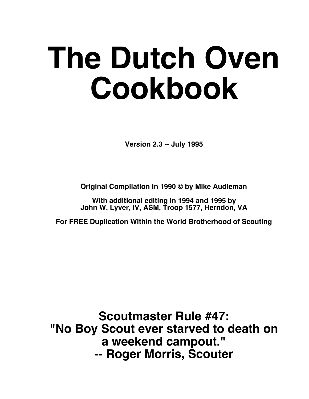# **The Dutch Oven Cookbook**

**Version 2.3 -- July 1995**

**Original Compilation in 1990 © by Mike Audleman**

**With additional editing in 1994 and 1995 by John W. Lyver, IV, ASM, Troop 1577, Herndon, VA**

**For FREE Duplication Within the World Brotherhood of Scouting**

**Scoutmaster Rule #47: "No Boy Scout ever starved to death on a weekend campout." -- Roger Morris, Scouter**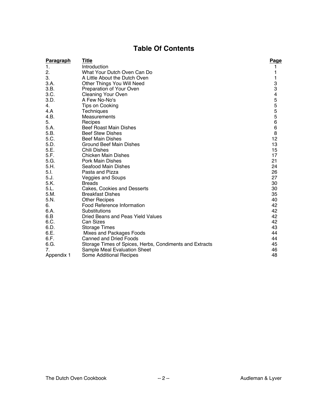# **Table Of Contents**

| <b>Paragraph</b> | <b>Title</b>                                            | <u>Page</u> |
|------------------|---------------------------------------------------------|-------------|
| 1.               | Introduction                                            | 1           |
| 2.               | What Your Dutch Oven Can Do                             | 1           |
| 3.               | A Little About the Dutch Oven                           | 1           |
| 3.A.             | Other Things You Will Need                              | 3           |
| 3.B.             | Preparation of Your Oven                                | 3           |
| 3.C.             | <b>Cleaning Your Oven</b>                               | 4           |
| 3.D.             | A Few No-No's                                           | 5           |
| 4.               | Tips on Cooking                                         | 5           |
| 4.A              | Techniques                                              | 5           |
| 4.B.             | Measurements                                            | 5           |
| 5.               | Recipes                                                 | 6           |
| 5.A.             | Beef Roast Main Dishes                                  | 6           |
| 5.B.             | <b>Beef Stew Dishes</b>                                 | 8           |
| 5.C.             | <b>Beef Main Dishes</b>                                 | 12          |
| 5.D.             | Ground Beef Main Dishes                                 | 13          |
| 5.E.             | Chili Dishes                                            | 15          |
| 5.F.             | <b>Chicken Main Dishes</b>                              | 17          |
| 5.G.             | <b>Pork Main Dishes</b>                                 | 21          |
| 5.H.             | Seafood Main Dishes                                     | 24          |
| 5.1.             | Pasta and Pizza                                         | 26          |
| 5. J.            | <b>Veggies and Soups</b>                                | 27          |
| 5.K.             | <b>Breads</b>                                           | 30          |
| 5.L.             | Cakes, Cookies and Desserts                             | 30          |
| 5.M.             | <b>Breakfast Dishes</b>                                 | 35          |
| 5.N.             | <b>Other Recipes</b>                                    | 40          |
| 6.               | Food Reference Information                              | 42          |
| 6.A.             | Substitutions                                           | 42          |
| 6.B              | Dried Beans and Peas Yield Values                       | 42          |
| 6.C.             | Can Sizes                                               | 42          |
| 6.D.             | <b>Storage Times</b>                                    | 43          |
| 6.E.             | Mixes and Packages Foods                                | 44          |
| 6.F.             | <b>Canned and Dried Foods</b>                           | 44          |
| 6.G.             | Storage Times of Spices, Herbs, Condiments and Extracts | 45          |
| 7.               | Sample Meal Evaluation Sheet                            | 46          |
| Appendix 1       | Some Additional Recipes                                 | 48          |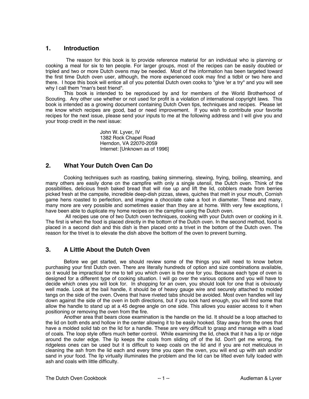#### **1. Introduction**

The reason for this book is to provide reference material for an individual who is planning or cooking a meal for six to ten people. For larger groups, most of the recipes can be easily doubled or tripled and two or more Dutch ovens may be needed. Most of the information has been targeted toward the first time Dutch oven user, although, the more experienced cook may find a tidbit or two here and there. I hope this book will entice all of you potential Dutch oven cooks to "give 'er a try" and you will see why I call them "man's best friend".

This book is intended to be reproduced by and for members of the World Brotherhood of Scouting. Any other use whether or not used for profit is a violation of international copyright laws. This book is intended as a growing document containing Dutch Oven tips, techniques and recipes. Please let me know which recipes are good, bad or need improvement. If you wish to contribute your favorite recipes for the next issue, please send your inputs to me at the following address and I will give you and your troop credit in the next issue:

> John W. Lyver, IV 1382 Rock Chapel Road Herndon, VA 22070-2059 Internet: [Unknown as of 1996]

#### **2. What Your Dutch Oven Can Do**

Cooking techniques such as roasting, baking simmering, stewing, frying, boiling, steaming, and many others are easily done on the campfire with only a single utensil, the Dutch oven. Think of the possibilities, delicious fresh baked bread that will rise up and lift the lid, cobblers made from berries picked fresh at the campsite, incredible deep-dish pizzas, stews, quiches that melt in your mouth, Cornish game hens roasted to perfection, and imagine a chocolate cake a foot in diameter. These and many, many more are very possible and sometimes easier than they are at home. With very few exceptions, I have been able to duplicate my home recipes on the campfire using the Dutch oven.

All recipes use one of two Dutch oven techniques, cooking with your Dutch oven or cooking in it. The first is when the food is placed directly in the bottom of the Dutch oven. In the second method, food is placed in a second dish and this dish is then placed onto a trivet in the bottom of the Dutch oven. The reason for the trivet is to elevate the dish above the bottom of the oven to prevent burning.

#### **3. A Little About the Dutch Oven**

Before we get started, we should review some of the things you will need to know before purchasing your first Dutch oven. There are literally hundreds of option and size combinations available, so it would be impractical for me to tell you which oven is the one for you. Because each type of oven is designed for a different type of cooking situation. I will go over the various options and you will have to decide which ones you will look for. In shopping for an oven, you should look for one that is obviously well made. Look at the bail handle, it should be of heavy gauge wire and securely attached to molded tangs on the side of the oven. Ovens that have riveted tabs should be avoided. Most oven handles will lay down against the side of the oven in both directions, but if you look hard enough, you will find some that allow the handle to stand up at a 45 degree angle on one side. This allows you easier access to it when positioning or removing the oven from the fire.

Another area that bears close examination is the handle on the lid. It should be a loop attached to the lid on both ends and hollow in the center allowing it to be easily hooked. Stay away from the ones that have a molded solid tab on the lid for a handle. These are very difficult to grasp and manage with a load of coals. The loop style offers much better control. While examining the lid, check that it has a lip or ridge around the outer edge. The lip keeps the coals from sliding off of the lid. Don't get me wrong, the ridgeless ones can be used but it is difficult to keep coals on the lid and if you are not meticulous in cleaning the ash from the lid each and every time you open the oven, you will end up with ash and/or sand in your food. The lip virtually illuminates the problem and the lid can be lifted even fully loaded with ash and coals with little difficulty.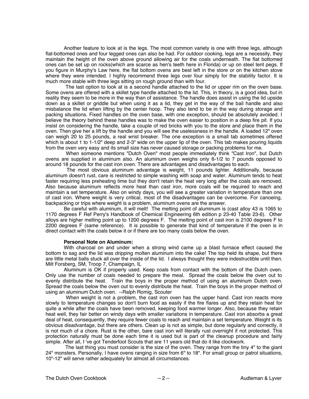Another feature to look at is the legs. The most common variety is one with three legs, although flat-bottomed ones and four legged ones can also be had. For outdoor cooking, legs are a necessity, they maintain the height of the oven above ground allowing air for the coals underneath. The flat bottomed ones can be set up on rocks(which are scarce as hen's teeth here in Florida) or up on steel tent pegs. If you figure in Murphy's Law here, the flat bottom ovens are best left in the store or on the kitchen stove where they were intended. I highly recommend three legs over four simply for the stability factor. It is much more stable with three legs sitting on rough ground than with four.

The last option to look at is a second handle attached to the lid or upper rim on the oven base. Some ovens are offered with a skillet type handle attached to the lid. This, in theory, is a good idea, but in reality they seem to be more in the way than of assistance. The handle does assist in using the lid upside down as a skillet or griddle but when using it as a lid, they get in the way of the bail handle and also misbalance the lid when lifting by the center hoop. They also tend to be in the way during storage and packing situations. Fixed handles on the oven base, with one exception, should be absolutely avoided. I believe the theory behind these handles was to make the oven easier to position in a deep fire pit. If you insist on considering the handle, take a couple of red bricks with you to the store and place them in the oven. Then give her a lift by the handle and you will see the uselessness in the handle. A loaded 12" oven can weigh 20 to 25 pounds, a real wrist breaker. The one exception is a small tab sometimes offered which is about 1 to 1-1/2" deep and 2-3" wide on the upper lip of the oven. This tab makes pouring liquids from the oven very easy and its small size has never caused storage or packing problems for me.

When someone mentions "Dutch Oven" most people immediately think "Cast Iron", but Dutch ovens are supplied in aluminum also. An aluminum oven weighs only 6-1/2 to 7 pounds opposed to around 18 pounds for the cast iron oven. There are advantages and disadvantages to each.

The most obvious aluminum advantage is weight, 11 pounds lighter. Additionally, because aluminum doesn't rust, care is restricted to simple washing with soap and water. Aluminum tends to heat faster requiring less preheating time but they don't retain the heat very long after the coals are removed. Also because aluminum reflects more heat than cast iron, more coals will be required to reach and maintain a set temperature. Also on windy days, you will see a greater variation in temperature than one of cast iron. Where weight is very critical, most of the disadvantages can be overcome. For canoeing, backpacking or trips where weight is a problem, aluminum ovens are the answer.

Be careful with aluminum, it will melt! The melting point of aluminum is (cast alloy 43 is 1065 to 1170 degrees F Ref Perry's Handbook of Chemical Engineering 6th edition p 23-40 Table 23-6). Other alloys are higher melting point up to 1200 degrees F. The melting point of cast iron is 2100 degrees F to 2200 degrees F (same reference). It is possible to generate that kind of temperature if the oven is in direct contact with the coals below it or if there are too many coals below the oven.

#### **Personal Note on Aluminum:**

With charcoal on and under when a strong wind came up a blast furnace effect caused the bottom to sag and the lid was dripping molten aluminum into the cake! The top held its shape, but there are little metal balls stuck all over the inside of the lid. I always thought they were indestructible until then. Milt Forsberg, SM, Troop 7, Champaign, IL

Aluminum is OK if properly used. Keep coals from contact with the bottom of the Dutch oven. Only use the number of coals needed to prepare the meal. Spread the coals below the oven out to evenly distribute the heat. Train the boys in the proper method of using an aluminum Dutch oven. Spread the coals below the oven out to evenly distribute the heat. Train the boys in the proper method of using an aluminum Dutch oven. --Ralph Romig, Scouter

When weight is not a problem, the cast iron oven has the upper hand. Cast iron reacts more slowly to temperature changes so don't burn food as easily if the fire flares up and they retain heat for quite a while after the coals have been removed, keeping food warmer longer. Also, because they retain heat well, they fair better on windy days with smaller variations in temperature. Cast iron absorbs a great deal of heat, consequently, they require fewer coals to reach and maintain a set temperature. Weight is its obvious disadvantage, but there are others. Clean up is not as simple, but done regularly and correctly, it is not much of a chore. Rust is the other, bare cast iron will literally rust overnight if not protected. This protection naturally must be done each time it is used but is part of the cleanup procedure and fairly simple. After all, I 've got Tenderfoot Scouts that are 11 years old that do it like clockwork.

The last thing you must consider is the size of the oven. They range from the tiny 4" to the giant 24" monsters. Personally, I have ovens ranging in size from 6" to 18". For small group or patrol situations, 10"-12" will serve rather adequately for almost all circumstances.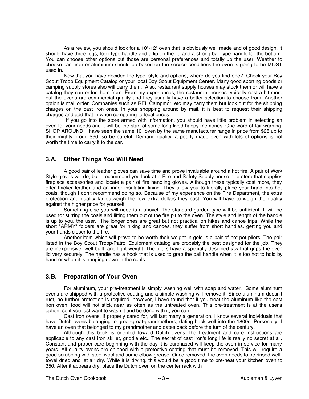As a review, you should look for a 10"-12" oven that is obviously well made and of good design. It should have three legs, loop type handle and a lip on the lid and a strong bail type handle for the bottom. You can choose other options but those are personal preferences and totally up the user. Weather to choose cast iron or aluminum should be based on the service conditions the oven is going to be MOST used in.

Now that you have decided the type, style and options, where do you find one? Check your Boy Scout Troop Equipment Catalog or your local Boy Scout Equipment Center. Many good sporting goods or camping supply stores also will carry them. Also, restaurant supply houses may stock them or will have a catalog they can order them from. From my experiences, the restaurant houses typically cost a bit more but the ovens are commercial quality and they usually have a better selection to choose from. Another option is mail order. Companies such as REI, Campmor, etc may carry them but look out for the shipping charges on the cast iron ones. In your shopping around by mail, it is best to request their shipping charges and add that in when comparing to local prices.

If you go into the store armed with information, you should have little problem in selecting an oven for your needs and it will be the start of some long lived happy memories. One word of fair warning, SHOP AROUND! I have seen the same 10" oven by the same manufacturer range in price from \$25 up to their mighty proud \$60, so be careful. Demand quality, a poorly made oven with lots of options is not worth the time to carry it to the car.

#### **3.A. Other Things You Will Need**

A good pair of leather gloves can save time and prove invaluable around a hot fire. A pair of Work Style gloves will do, but I recommend you look at a Fire and Safety Supply house or a store that supplies fireplace accessories and locate a pair of fire handling gloves. Although these typically cost more, they offer thicker leather and an inner insulating lining. They allow you to literally place your hand into hot coals, though I don't recommend doing so. Because of my experience on the Fire Department, the extra protection and quality far outweigh the few extra dollars they cost. You will have to weigh the quality against the higher price for yourself.

Something else you will need is a shovel. The standard garden type will be sufficient. It will be used for stirring the coals and lifting them out of the fire pit to the oven. The style and length of the handle is up to you, the user. The longer ones are great but not practical on hikes and canoe trips. While the short "ARMY" folders are great for hiking and canoes, they suffer from short handles, getting you and your hands closer to the fire.

Another item which will prove to be worth their weight in gold is a pair of hot pot pliers. The pair listed in the Boy Scout Troop/Patrol Equipment catalog are probably the best designed for the job. They are inexpensive, well built, and light weight. The pliers have a specially designed jaw that grips the oven lid very securely. The handle has a hook that is used to grab the bail handle when it is too hot to hold by hand or when it is hanging down in the coals.

#### **3.B. Preparation of Your Oven**

For aluminum, your pre-treatment is simply washing well with soap and water. Some aluminum ovens are shipped with a protective coating and a simple washing will remove it. Since aluminum doesn't rust, no further protection is required, however, I have found that if you treat the aluminum like the cast iron oven, food will not stick near as often as the untreated oven. This pre-treatment is at the user's option, so if you just want to wash it and be done with it, you can.

Cast iron ovens, if properly cared for, will last many a generation. I know several individuals that have Dutch ovens belonging to great-great-grandmothers, dating back well into the 1800s. Personally, I have an oven that belonged to my grandmother and dates back before the turn of the century.

Although this book is oriented toward Dutch ovens, the treatment and care instructions are applicable to any cast iron skillet, griddle etc.. The secret of cast iron's long life is really no secret at all. Constant and proper care beginning with the day it is purchased will keep the oven in service for many years. All quality ovens are shipped with a protective coating that must be removed. This will require a good scrubbing with steel wool and some elbow grease. Once removed, the oven needs to be rinsed well, towel dried and let air dry. While it is drying, this would be a good time to pre-heat your kitchen oven to 350. After it appears dry, place the Dutch oven on the center rack with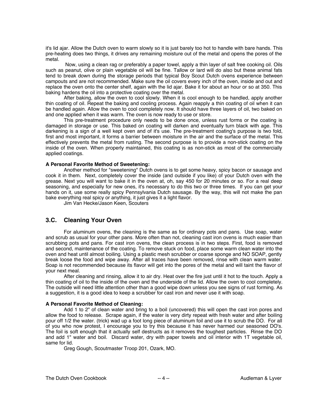it's lid ajar. Allow the Dutch oven to warm slowly so it is just barely too hot to handle with bare hands. This pre-heating does two things, it drives any remaining moisture out of the metal and opens the pores of the metal.

Now, using a clean rag or preferably a paper towel, apply a thin layer of salt free cooking oil. Oils such as peanut, olive or plain vegetable oil will be fine. Tallow or lard will do also but these animal fats tend to break down during the storage periods that typical Boy Scout Dutch ovens experience between campouts and are not recommended. Make sure the oil covers every inch of the oven, inside and out and replace the oven onto the center shelf, again with the lid ajar. Bake it for about an hour or so at 350. This baking hardens the oil into a protective coating over the metal.

After baking, allow the oven to cool slowly. When it is cool enough to be handled, apply another thin coating of oil. Repeat the baking and cooling process. Again reapply a thin coating of oil when it can be handled again. Allow the oven to cool completely now. It should have three layers of oil, two baked on and one applied when it was warm. The oven is now ready to use or store.

This pre-treatment procedure only needs to be done once, unless rust forms or the coating is damaged in storage or use. This baked on coating will darken and eventually turn black with age. This darkening is a sign of a well kept oven and of it's use. The pre-treatment coating's purpose is two fold, first and most important, it forms a barrier between moisture in the air and the surface of the metal. This effectively prevents the metal from rusting. The second purpose is to provide a non-stick coating on the inside of the oven. When properly maintained, this coating is as non-stick as most of the commercially applied coatings.

#### **A Personal Favorite Method of Sweetening:**

Another method for "sweetening" Dutch ovens is to get some heavy, spicy bacon or sausage and cook it in them. Next, completely cover the inside (and outside if you like) of your Dutch oven with the grease. Next you will want to bake it in the oven at, oh, say 450 for 20 minutes or so. For a real deep seasoning, and especially for new ones, it's necessary to do this two or three times. If you can get your hands on it, use some really spicy Pennsylvania Dutch sausage. By the way, this will not make the pan bake everything real spicy or anything, it just gives it a light flavor.

Jim Van Hecke/Jason Keen, Scouters

#### **3.C. Cleaning Your Oven**

For aluminum ovens, the cleaning is the same as for ordinary pots and pans. Use soap, water and scrub as usual for your other pans. More often than not, cleaning cast iron ovens is much easier than scrubbing pots and pans. For cast iron ovens, the clean process is in two steps. First, food is removed and second, maintenance of the coating. To remove stuck on food, place some warm clean water into the oven and heat until almost boiling. Using a plastic mesh scrubber or coarse sponge and NO SOAP, gently break loose the food and wipe away. After all traces have been removed, rinse with clean warm water. Soap is not recommended because its flavor will get into the pores of the metal and will taint the flavor of your next meal.

After cleaning and rinsing, allow it to air dry. Heat over the fire just until it hot to the touch. Apply a thin coating of oil to the inside of the oven and the underside of the lid. Allow the oven to cool completely. The outside will need little attention other than a good wipe down unless you see signs of rust forming. As a suggestion, it is a good idea to keep a scrubber for cast iron and never use it with soap.

#### **A Personal Favorite Method of Cleaning:**

Add 1 to 2" of clean water and bring to a boil (uncovered) this will open the cast iron pores and allow the food to release. Scrape again, if the water is very dirty repeat with fresh water and after boiling pour off 1/2 the water. (trick) wad up a foot long piece of aluminum foil and use it to scrub the DO. For all of you who now protest, I encourage you to try this because it has never harmed our seasoned DO's. The foil is soft enough that it actually self destructs as it removes the toughest particles. Rinse the DO and add 1" water and boil. Discard water, dry with paper towels and oil interior with 1T vegetable oil, same for lid.

Greg Gough, Scoutmaster Troop 201, Ozark, MO.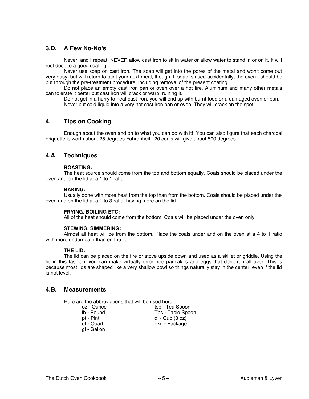#### **3.D. A Few No-No's**

Never, and I repeat, NEVER allow cast iron to sit in water or allow water to stand in or on it. It will rust despite a good coating.

Never use soap on cast iron. The soap will get into the pores of the metal and won't come out very easy, but will return to taint your next meal, though. If soap is used accidentally, the oven should be put through the pre-treatment procedure, including removal of the present coating.

Do not place an empty cast iron pan or oven over a hot fire. Aluminum and many other metals can tolerate it better but cast iron will crack or warp, ruining it.

Do not get in a hurry to heat cast iron, you will end up with burnt food or a damaged oven or pan. Never put cold liquid into a very hot cast iron pan or oven. They will crack on the spot!

#### **4. Tips on Cooking**

Enough about the oven and on to what you can do with it! You can also figure that each charcoal briquette is worth about 25 degrees Fahrenheit. 20 coals will give about 500 degrees.

#### **4.A Techniques**

#### **ROASTING:**

The heat source should come from the top and bottom equally. Coals should be placed under the oven and on the lid at a 1 to 1 ratio.

#### **BAKING:**

Usually done with more heat from the top than from the bottom. Coals should be placed under the oven and on the lid at a 1 to 3 ratio, having more on the lid.

#### **FRYING, BOILING ETC:**

All of the heat should come from the bottom. Coals will be placed under the oven only.

#### **STEWING, SIMMERING:**

Almost all heat will be from the bottom. Place the coals under and on the oven at a 4 to 1 ratio with more underneath than on the lid.

#### **THE LID:**

The lid can be placed on the fire or stove upside down and used as a skillet or griddle. Using the lid in this fashion, you can make virtually error free pancakes and eggs that don't run all over. This is because most lids are shaped like a very shallow bowl so things naturally stay in the center, even if the lid is not level.

#### **4.B. Measurements**

Here are the abbreviations that will be used here:

| oz - Ounce  | tsp - Tea Spoon   |  |  |
|-------------|-------------------|--|--|
| Ib - Pound  | Tbs - Table Spoon |  |  |
| pt - Pint   | $c - Cup (8 oz)$  |  |  |
| gt - Quart  | pkg - Package     |  |  |
| gl - Gallon |                   |  |  |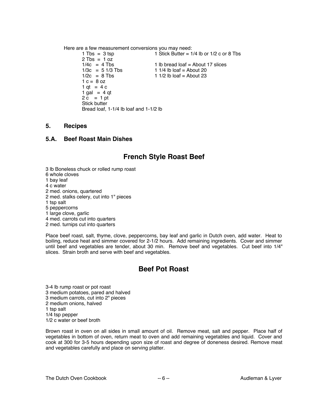Here are a few measurement conversions you may need:<br>1 Tbs = 3 tsp 1 Stick Butter = 1

1 Stick Butter =  $1/4$  lb or  $1/2$  c or 8 Tbs  $2 \text{ Tbs} = 1 \text{ oz}$ <br> $1/4c = 4 \text{ Tbs}$  $1/4c$  = 4 Tbs 1 lb bread loaf = About 17 slices<br> $1/3c$  = 5 1/3 Tbs 1/4 lb loaf = About 20  $1/3$  Broad Tear  $-$  7 1.5 Sec.  $1/2c = 8$  Tbs 1 1/2 lb loaf = About 23  $1 c = 8 oz$ 1 qt =  $4 c$ 1 gal  $= 4$  gt  $2 \tilde{c}$  = 1 pt Stick butter Bread loaf, 1-1/4 lb loaf and 1-1/2 lb

#### **5. Recipes**

#### **5.A. Beef Roast Main Dishes**

#### **French Style Roast Beef**

- 3 lb Boneless chuck or rolled rump roast
- 6 whole cloves
- 1 bay leaf
- 4 c water
- 2 med. onions, quartered
- 2 med. stalks celery, cut into 1" pieces
- 1 tsp salt
- 5 peppercorns
- 1 large clove, garlic
- 4 med. carrots cut into quarters
- 2 med. turnips cut into quarters

Place beef roast, salt, thyme, clove, peppercorns, bay leaf and garlic in Dutch oven, add water. Heat to boiling, reduce heat and simmer covered for 2-1/2 hours. Add remaining ingredients. Cover and simmer until beef and vegetables are tender, about 30 min. Remove beef and vegetables. Cut beef into 1/4" slices. Strain broth and serve with beef and vegetables.

# **Beef Pot Roast**

3-4 lb rump roast or pot roast 3 medium potatoes, pared and halved 3 medium carrots, cut into 2" pieces 2 medium onions, halved 1 tsp salt 1/4 tsp pepper 1/2 c water or beef broth

Brown roast in oven on all sides in small amount of oil. Remove meat, salt and pepper. Place half of vegetables in bottom of oven, return meat to oven and add remaining vegetables and liquid. Cover and cook at 300 for 3-5 hours depending upon size of roast and degree of doneness desired. Remove meat and vegetables carefully and place on serving platter.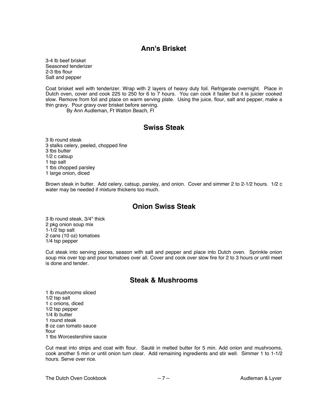## **Ann's Brisket**

3-4 lb beef brisket Seasoned tenderizer 2-3 tbs flour Salt and pepper

Coat brisket well with tenderizer. Wrap with 2 layers of heavy duty foil. Refrigerate overnight. Place in Dutch oven, cover and cook 225 to 250 for 6 to 7 hours. You can cook it faster but it is juicier cooked slow. Remove from foil and place on warm serving plate. Using the juice, flour, salt and pepper, make a thin gravy. Pour gravy over brisket before serving.

By Ann Audleman, Ft Walton Beach, Fl

#### **Swiss Steak**

3 lb round steak 3 stalks celery, peeled, chopped fine 3 tbs butter 1/2 c catsup 1 tsp salt 1 tbs chopped parsley 1 large onion, diced

Brown steak in butter. Add celery, catsup, parsley, and onion. Cover and simmer 2 to 2-1/2 hours. 1/2 c water may be needed if mixture thickens too much.

## **Onion Swiss Steak**

3 lb round steak, 3/4" thick 2 pkg onion soup mix  $1-1/2$  tsp salt 2 cans (10 oz) tomatoes 1/4 tsp pepper

Cut steak into serving pieces, season with salt and pepper and place into Dutch oven. Sprinkle onion soup mix over top and pour tomatoes over all. Cover and cook over slow fire for 2 to 3 hours or until meet is done and tender.

## **Steak & Mushrooms**

1 lb mushrooms sliced 1/2 tsp salt 1 c onions, diced 1/2 tsp pepper 1/4 lb butter 1 round steak 8 oz can tomato sauce flour 1 tbs Worcestershire sauce

Cut meat into strips and coat with flour. Sauté in melted butter for 5 min. Add onion and mushrooms, cook another 5 min or until onion turn clear. Add remaining ingredients and stir well. Simmer 1 to 1-1/2 hours. Serve over rice.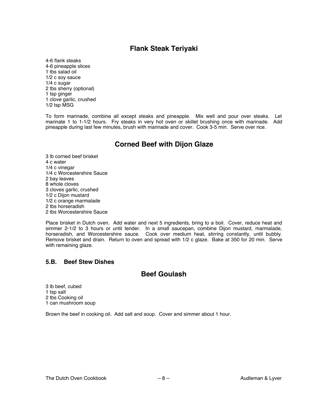## **Flank Steak Teriyaki**

4-6 flank steaks 4-6 pineapple slices 1 tbs salad oil 1/2 c soy sauce 1/4 c sugar 2 tbs sherry (optional) 1 tsp ginger 1 clove garlic, crushed 1/2 tsp MSG

To form marinade, combine all except steaks and pineapple. Mix well and pour over steaks. Let marinate 1 to 1-1/2 hours. Fry steaks in very hot oven or skillet brushing once with marinade. Add pineapple during last few minutes, brush with marinade and cover. Cook 3-5 min. Serve over rice.

# **Corned Beef with Dijon Glaze**

3 lb corned beef brisket 4 c water 1/4 c vinegar 1/4 c Worcestershire Sauce 2 bay leaves 8 whole cloves 3 cloves garlic, crushed 1/2 c Dijon mustard 1/2 c orange marmalade 2 tbs horseradish 2 tbs Worcestershire Sauce

Place brisket in Dutch oven. Add water and next 5 ingredients, bring to a boil. Cover, reduce heat and simmer 2-1/2 to 3 hours or until tender. In a small saucepan, combine Dijon mustard, marmalade, horseradish, and Worcestershire sauce. Cook over medium heat, stirring constantly, until bubbly. Remove brisket and drain. Return to oven and spread with 1/2 c glaze. Bake at 350 for 20 min. Serve with remaining glaze.

#### **5.B. Beef Stew Dishes**

## **Beef Goulash**

3 lb beef, cubed 1 tsp salt 2 tbs Cooking oil 1 can mushroom soup

Brown the beef in cooking oil. Add salt and soup. Cover and simmer about 1 hour.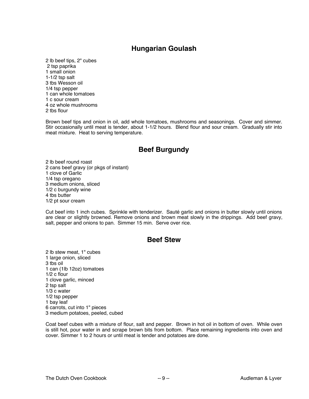## **Hungarian Goulash**

2 lb beef tips, 2" cubes 2 tsp paprika 1 small onion 1-1/2 tsp salt 3 tbs Wesson oil 1/4 tsp pepper 1 can whole tomatoes 1 c sour cream 4 oz whole mushrooms 2 tbs flour

Brown beef tips and onion in oil, add whole tomatoes, mushrooms and seasonings. Cover and simmer. Stir occasionally until meat is tender, about 1-1/2 hours. Blend flour and sour cream. Gradually stir into meat mixture. Heat to serving temperature.

# **Beef Burgundy**

2 lb beef round roast 2 cans beef gravy (or pkgs of instant) 1 clove of Garlic 1/4 tsp oregano 3 medium onions, sliced 1/2 c burgundy wine 4 tbs butter 1/2 pt sour cream

Cut beef into 1 inch cubes. Sprinkle with tenderizer. Sauté garlic and onions in butter slowly until onions are clear or slightly browned. Remove onions and brown meat slowly in the drippings. Add beef gravy, salt, pepper and onions to pan. Simmer 15 min. Serve over rice.

#### **Beef Stew**

2 lb stew meat, 1" cubes 1 large onion, sliced 3 tbs oil 1 can (1lb 12oz) tomatoes 1/2 c flour 1 clove garlic, minced 2 tsp salt 1/3 c water 1/2 tsp pepper 1 bay leaf 6 carrots, cut into 1" pieces 3 medium potatoes, peeled, cubed

Coat beef cubes with a mixture of flour, salt and pepper. Brown in hot oil in bottom of oven. While oven is still hot, pour water in and scrape brown bits from bottom. Place remaining ingredients into oven and cover. Simmer 1 to 2 hours or until meat is tender and potatoes are done.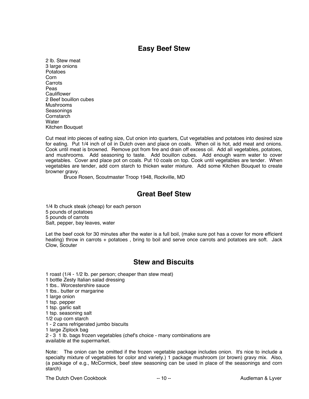#### **Easy Beef Stew**

2 lb. Stew meat 3 large onions Potatoes Corn Carrots Peas **Cauliflower** 2 Beef bouillon cubes Mushrooms **Seasonings Cornstarch Water** Kitchen Bouquet

Cut meat into pieces of eating size, Cut onion into quarters, Cut vegetables and potatoes into desired size for eating. Put 1/4 inch of oil in Dutch oven and place on coals. When oil is hot, add meat and onions. Cook until meat is browned. Remove pot from fire and drain off excess oil. Add all vegetables, potatoes, and mushrooms. Add seasoning to taste. Add bouillon cubes. Add enough warm water to cover vegetables. Cover and place pot on coals. Put 10 coals on top. Cook until vegetables are tender. When vegetables are tender, add corn starch to thicken water mixture. Add some Kitchen Bouquet to create browner gravy.

Bruce Rosen, Scoutmaster Troop 1948, Rockville, MD

#### **Great Beef Stew**

1/4 lb chuck steak (cheap) for each person 5 pounds of potatoes 5 pounds of carrots Salt, pepper, bay leaves, water

Let the beef cook for 30 minutes after the water is a full boil, (make sure pot has a cover for more efficient heating) throw in carrots + potatoes , bring to boil and serve once carrots and potatoes are soft. Jack Clow, Scouter

## **Stew and Biscuits**

1 roast (1/4 - 1/2 lb. per person; cheaper than stew meat)

1 bottle Zesty Italian salad dressing

1 tbs.. Worcestershire sauce

- 1 tbs.. butter or margarine
- 1 large onion
- 1 tsp. pepper
- 1 tsp. garlic salt
- 1 tsp. seasoning salt
- 1/2 cup corn starch

1 - 2 cans refrigerated jumbo biscuits

1 large Ziplock bag

2 - 3 1 lb. bags frozen vegetables (chef's choice - many combinations are available at the supermarket.

Note: The onion can be omitted if the frozen vegetable package includes onion. It's nice to include a specialty mixture of vegetables for color and variety.) 1 package mushroom (or brown) gravy mix. Also, (a package of e.g., McCormick, beef stew seasoning can be used in place of the seasonings and corn starch)

The Dutch Oven Cookbook --- 10 -- 10 -- Audleman & Lyver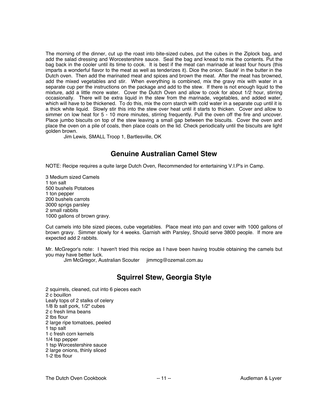The morning of the dinner, cut up the roast into bite-sized cubes, put the cubes in the Ziplock bag, and add the salad dressing and Worcestershire sauce. Seal the bag and knead to mix the contents. Put the bag back in the cooler until its time to cook. It is best if the meat can marinade at least four hours (this imparts a wonderful flavor to the meat as well as tenderizes it). Dice the onion. Sauté' in the butter in the Dutch oven. Then add the marinated meat and spices and brown the meat. After the meat has browned, add the mixed vegetables and stir. When everything is combined, mix the gravy mix with water in a separate cup per the instructions on the package and add to the stew. If there is not enough liquid to the mixture, add a little more water. Cover the Dutch Oven and allow to cook for about 1/2 hour, stirring occasionally. There will be extra liquid in the stew from the marinade, vegetables, and added water, which will have to be thickened. To do this, mix the corn starch with cold water in a separate cup until it is a thick white liquid. Slowly stir this into the stew over heat until it starts to thicken. Cover and allow to simmer on low heat for 5 - 10 more minutes, stirring frequently. Pull the oven off the fire and uncover. Place jumbo biscuits on top of the stew leaving a small gap between the biscuits. Cover the oven and place the oven on a pile of coals, then place coals on the lid. Check periodically until the biscuits are light golden brown.

Jim Lewis, SMALL Troop 1, Bartlesville, OK

## **Genuine Australian Camel Stew**

NOTE: Recipe requires a quite large Dutch Oven, Recommended for entertaining V.I.P's in Camp.

3 Medium sized Camels 1 ton salt 500 bushels Potatoes 1 ton pepper 200 bushels carrots 3000 sprigs parsley 2 small rabbits 1000 gallons of brown gravy.

Cut camels into bite sized pieces, cube vegetables. Place meat into pan and cover with 1000 gallons of brown gravy. Simmer slowly for 4 weeks. Garnish with Parsley, Should serve 3800 people. If more are expected add 2 rabbits.

Mr. McGregor's note: I haven't tried this recipe as I have been having trouble obtaining the camels but you may have better luck.

Jim McGregor, Australian Scouter jimmcg@ozemail.com.au

# **Squirrel Stew, Georgia Style**

2 squirrels, cleaned, cut into 6 pieces each 2 c bouillon Leafy tops of 2 stalks of celery 1/8 lb salt pork, 1/2" cubes 2 c fresh lima beans 2 tbs flour 2 large ripe tomatoes, peeled 1 tsp salt 1 c fresh corn kernels 1/4 tsp pepper 1 tsp Worcestershire sauce 2 large onions, thinly sliced 1-2 tbs flour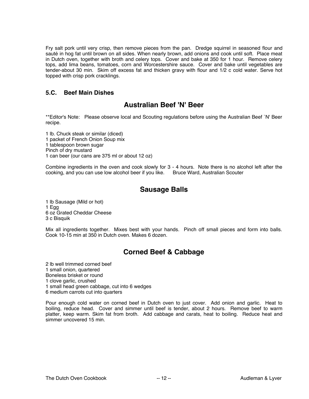Fry salt pork until very crisp, then remove pieces from the pan. Dredge squirrel in seasoned flour and sauté in hog fat until brown on all sides. When nearly brown, add onions and cook until soft. Place meat in Dutch oven, together with broth and celery tops. Cover and bake at 350 for 1 hour. Remove celery tops, add lima beans, tomatoes, corn and Worcestershire sauce. Cover and bake until vegetables are tender-about 30 min. Skim off excess fat and thicken gravy with flour and 1/2 c cold water. Serve hot topped with crisp pork cracklings.

#### **5.C. Beef Main Dishes**

#### **Australian Beef 'N' Beer**

\*\*Editor's Note: Please observe local and Scouting regulations before using the Australian Beef `N' Beer recipe.

1 lb. Chuck steak or similar (diced) 1 packet of French Onion Soup mix 1 tablespoon brown sugar Pinch of dry mustard 1 can beer (our cans are 375 ml or about 12 oz)

Combine ingredients in the oven and cook slowly for 3 - 4 hours. Note there is no alcohol left after the cooking, and you can use low alcohol beer if you like. Bruce Ward, Australian Scouter

# **Sausage Balls**

1 lb Sausage (Mild or hot) 1 Egg 6 oz Grated Cheddar Cheese 3 c Bisquik

Mix all ingredients together. Mixes best with your hands. Pinch off small pieces and form into balls. Cook 10-15 min at 350 in Dutch oven. Makes 6 dozen.

# **Corned Beef & Cabbage**

2 lb well trimmed corned beef 1 small onion, quartered Boneless brisket or round 1 clove garlic, crushed 1 small head green cabbage, cut into 6 wedges 6 medium carrots cut into quarters

Pour enough cold water on corned beef in Dutch oven to just cover. Add onion and garlic. Heat to boiling, reduce head. Cover and simmer until beef is tender, about 2 hours. Remove beef to warm platter, keep warm. Skim fat from broth. Add cabbage and carats, heat to boiling. Reduce heat and simmer uncovered 15 min.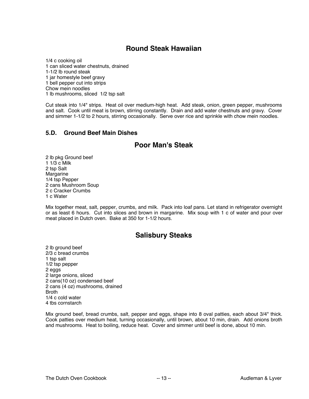# **Round Steak Hawaiian**

1/4 c cooking oil 1 can sliced water chestnuts, drained 1-1/2 lb round steak 1 jar homestyle beef gravy 1 bell pepper cut into strips Chow mein noodles 1 lb mushrooms, sliced 1/2 tsp salt

Cut steak into 1/4" strips. Heat oil over medium-high heat. Add steak, onion, green pepper, mushrooms and salt. Cook until meat is brown, stirring constantly. Drain and add water chestnuts and gravy. Cover and simmer 1-1/2 to 2 hours, stirring occasionally. Serve over rice and sprinkle with chow mein noodles.

#### **5.D. Ground Beef Main Dishes**

#### **Poor Man's Steak**

2 lb pkg Ground beef 1 1/3 c Milk 2 tsp Salt **Margarine** 1/4 tsp Pepper 2 cans Mushroom Soup 2 c Cracker Crumbs 1 c Water

Mix together meat, salt, pepper, crumbs, and milk. Pack into loaf pans. Let stand in refrigerator overnight or as least 6 hours. Cut into slices and brown in margarine. Mix soup with 1 c of water and pour over meat placed in Dutch oven. Bake at 350 for 1-1/2 hours.

## **Salisbury Steaks**

2 lb ground beef 2/3 c bread crumbs 1 tsp salt 1/2 tsp pepper 2 eggs 2 large onions, sliced 2 cans(10 oz) condensed beef 2 cans (4 oz) mushrooms, drained Broth 1/4 c cold water 4 tbs cornstarch

Mix ground beef, bread crumbs, salt, pepper and eggs, shape into 8 oval patties, each about 3/4" thick. Cook patties over medium heat, turning occasionally, until brown, about 10 min, drain. Add onions broth and mushrooms. Heat to boiling, reduce heat. Cover and simmer until beef is done, about 10 min.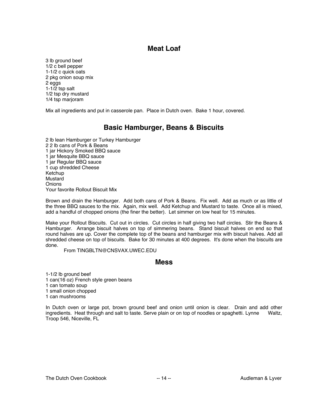#### **Meat Loaf**

3 lb ground beef 1/2 c bell pepper 1-1/2 c quick oats 2 pkg onion soup mix 2 eggs 1-1/2 tsp salt 1/2 tsp dry mustard 1/4 tsp marjoram

Mix all ingredients and put in casserole pan. Place in Dutch oven. Bake 1 hour, covered.

# **Basic Hamburger, Beans & Biscuits**

2 lb lean Hamburger or Turkey Hamburger 2 2 lb cans of Pork & Beans 1 jar Hickory Smoked BBQ sauce 1 jar Mesquite BBQ sauce 1 jar Regular BBQ sauce 1 cup shredded Cheese Ketchup Mustard **Onions** Your favorite Rollout Biscuit Mix

Brown and drain the Hamburger. Add both cans of Pork & Beans. Fix well. Add as much or as little of the three BBQ sauces to the mix. Again, mix well. Add Ketchup and Mustard to taste. Once all is mixed, add a handful of chopped onions (the finer the better). Let simmer on low heat for 15 minutes.

Make your Rollout Biscuits. Cut out in circles. Cut circles in half giving two half circles. Stir the Beans & Hamburger. Arrange biscuit halves on top of simmering beans. Stand biscuit halves on end so that round halves are up. Cover the complete top of the beans and hamburger mix with biscuit halves. Add all shredded cheese on top of biscuits. Bake for 30 minutes at 400 degrees. It's done when the biscuits are done.

From TINGBLTN@CNSVAX.UWEC.EDU

#### **Mess**

1-1/2 lb ground beef 1 can(16 oz) French style green beans 1 can tomato soup 1 small onion chopped 1 can mushrooms

In Dutch oven or large pot, brown ground beef and onion until onion is clear. Drain and add other ingredients. Heat through and salt to taste. Serve plain or on top of noodles or spaghetti. Lynne Waltz, Troop 546, Niceville, FL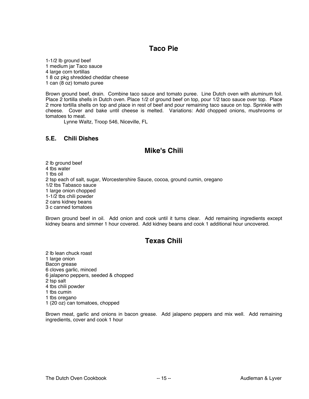# **Taco Pie**

1-1/2 lb ground beef 1 medium jar Taco sauce 4 large corn tortillas 1 8 oz pkg shredded cheddar cheese 1 can (8 oz) tomato puree

Brown ground beef, drain. Combine taco sauce and tomato puree. Line Dutch oven with aluminum foil. Place 2 tortilla shells in Dutch oven. Place 1/2 of ground beef on top, pour 1/2 taco sauce over top. Place 2 more tortilla shells on top and place in rest of beef and pour remaining taco sauce on top. Sprinkle with cheese. Cover and bake until cheese is melted. Variations: Add chopped onions, mushrooms or tomatoes to meat.

Lynne Waltz, Troop 546, Niceville, FL

#### **5.E. Chili Dishes**

# **Mike's Chili**

2 lb ground beef

4 tbs water

1 tbs oil

2 tsp each of salt, sugar, Worcestershire Sauce, cocoa, ground cumin, oregano

1/2 tbs Tabasco sauce

1 large onion chopped

1-1/2 tbs chili powder

2 cans kidney beans

3 c canned tomatoes

Brown ground beef in oil. Add onion and cook until it turns clear. Add remaining ingredients except kidney beans and simmer 1 hour covered. Add kidney beans and cook 1 additional hour uncovered.

## **Texas Chili**

2 lb lean chuck roast 1 large onion Bacon grease 6 cloves garlic, minced 6 jalapeno peppers, seeded & chopped 2 tsp salt 4 tbs chili powder 1 tbs cumin 1 tbs oregano 1 (20 oz) can tomatoes, chopped

Brown meat, garlic and onions in bacon grease. Add jalapeno peppers and mix well. Add remaining ingredients, cover and cook 1 hour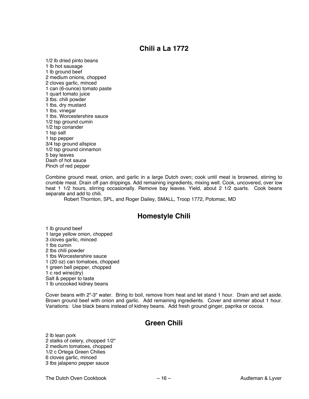#### **Chili a La 1772**

1/2 lb dried pinto beans 1 lb hot sausage 1 lb ground beef 2 medium onions, chopped 2 cloves garlic, minced 1 can (6-ounce) tomato paste 1 quart tomato juice 3 tbs. chili powder 1 tbs. dry mustard 1 tbs. vinegar 1 tbs. Worcestershire sauce 1/2 tsp ground cumin 1/2 tsp coriander 1 tsp salt 1 tsp pepper 3/4 tsp ground allspice 1/2 tsp ground cinnamon 5 bay leaves Dash of hot sauce Pinch of red pepper

Combine ground meat, onion, and garlic in a large Dutch oven; cook until meat is browned, stirring to crumble meat. Drain off pan drippings. Add remaining ingredients, mixing well. Cook, uncovered, over low heat 1 1/2 hours, stirring occasionally. Remove bay leaves. Yield, about 2 1/2 quarts. Cook beans separate and add to chili.

Robert Thornton, SPL, and Roger Dailey, SMALL, Troop 1772, Potomac, MD

# **Homestyle Chili**

1 lb ground beef 1 large yellow onion, chopped 3 cloves garlic, minced 1 tbs cumin 2 tbs chili powder 1 tbs Worcestershire sauce 1 (20 oz) can tomatoes, chopped 1 green bell pepper, chopped 1 c red wine(dry) Salt & pepper to taste 1 lb uncooked kidney beans

Cover beans with 2"-3" water. Bring to boil, remove from heat and let stand 1 hour. Drain and set aside. Brown ground beef with onion and garlic. Add remaining ingredients. Cover and simmer about 1 hour. Variations: Use black beans instead of kidney beans. Add fresh ground ginger, paprika or cocoa.

## **Green Chili**

2 lb lean pork 2 stalks of celery, chopped 1/2" 2 medium tomatoes, chopped 1/2 c Ortega Green Chilies 6 cloves garlic, minced 3 tbs jalapeno pepper sauce

The Dutch Oven Cookbook --- 16 -- 16 -- Audleman & Lyver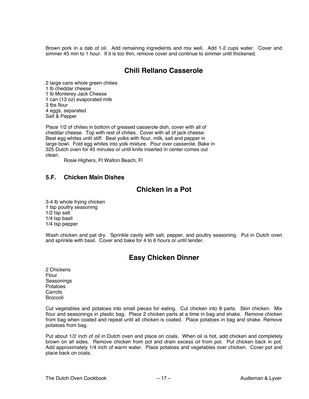Brown pork in a dab of oil. Add remaining ingredients and mix well. Add 1-2 cups water. Cover and simmer 45 min to 1 hour. If it is too thin, remove cover and continue to simmer until thickened.

# **Chili Rellano Casserole**

2 large cans whole green chilies 1 lb cheddar cheese 1 lb Monterey Jack Cheese 1 can (13 oz) evaporated milk 3 tbs flour 4 eggs, separated Salt & Pepper

Place 1/2 of chilies in bottom of greased casserole dish, cover with all of cheddar cheese. Top with rest of chilies. Cover with all of jack cheese. Beat egg whites until stiff. Beat yolks with flour, milk, salt and pepper in large bowl. Fold egg whites into yolk mixture. Pour over casserole. Bake in 325 Dutch oven for 45 minutes or until knife inserted in center comes out clean.

Rosie Highers, Ft Walton Beach, Fl

#### **5.F. Chicken Main Dishes**

#### **Chicken in a Pot**

3-4 lb whole frying chicken 1 tsp poultry seasoning 1/2 tsp salt 1/4 tsp basil 1/4 tsp pepper

Wash chicken and pat dry. Sprinkle cavity with salt, pepper, and poultry seasoning. Put in Dutch oven and sprinkle with basil. Cover and bake for 4 to 6 hours or until tender.

## **Easy Chicken Dinner**

2 Chickens Flour **Seasonings** Potatoes **Carrots** Broccoli

Cut vegetables and potatoes into small pieces for eating. Cut chicken into 8 parts. Skin chicken. Mix flour and seasonings in plastic bag. Place 2 chicken parts at a time in bag and shake. Remove chicken from bag when coated and repeat until all chicken is coated. Place potatoes in bag and shake. Remove potatoes from bag.

Put about 1/2 inch of oil in Dutch oven and place on coals. When oil is hot, add chicken and completely brown on all sides. Remove chicken from pot and drain excess oil from pot. Put chicken back in pot. Add approximately 1/4 inch of warm water. Place potatoes and vegetables over chicken. Cover pot and place back on coals.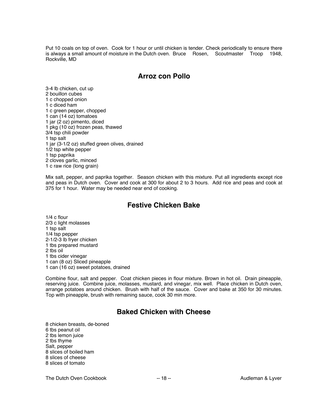Put 10 coals on top of oven. Cook for 1 hour or until chicken is tender. Check periodically to ensure there is always a small amount of moisture in the Dutch oven. Bruce Rosen, Scoutmaster Troop 1948, Rockville, MD

#### **Arroz con Pollo**

3-4 lb chicken, cut up 2 bouillon cubes 1 c chopped onion 1 c diced ham 1 c green pepper, chopped 1 can (14 oz) tomatoes 1 jar (2 oz) pimento, diced 1 pkg (10 oz) frozen peas, thawed 3/4 tsp chili powder 1 tsp salt 1 jar (3-1/2 oz) stuffed green olives, drained 1/2 tsp white pepper 1 tsp paprika 2 cloves garlic, minced 1 c raw rice (long grain)

Mix salt, pepper, and paprika together. Season chicken with this mixture. Put all ingredients except rice and peas in Dutch oven. Cover and cook at 300 for about 2 to 3 hours. Add rice and peas and cook at 375 for 1 hour. Water may be needed near end of cooking.

## **Festive Chicken Bake**

1/4 c flour 2/3 c light molasses 1 tsp salt 1/4 tsp pepper 2-1/2-3 lb fryer chicken 1 tbs prepared mustard 2 tbs oil 1 tbs cider vinegar 1 can (8 oz) Sliced pineapple 1 can (16 oz) sweet potatoes, drained

Combine flour, salt and pepper. Coat chicken pieces in flour mixture. Brown in hot oil. Drain pineapple, reserving juice. Combine juice, molasses, mustard, and vinegar, mix well. Place chicken in Dutch oven, arrange potatoes around chicken. Brush with half of the sauce. Cover and bake at 350 for 30 minutes. Top with pineapple, brush with remaining sauce, cook 30 min more.

## **Baked Chicken with Cheese**

8 chicken breasts, de-boned 6 tbs peanut oil 2 tbs lemon juice 2 tbs thyme Salt, pepper 8 slices of boiled ham 8 slices of cheese 8 slices of tomato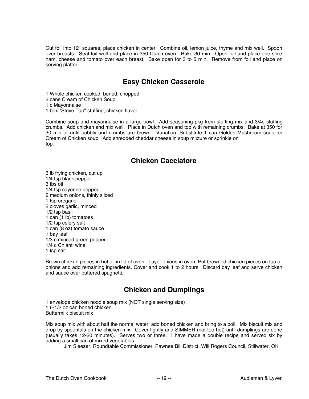Cut foil into 12" squares, place chicken in center. Combine oil, lemon juice, thyme and mix well. Spoon over breasts. Seal foil well and place in 350 Dutch oven. Bake 30 min. Open foil and place one slice ham, cheese and tomato over each breast. Bake open for 3 to 5 min. Remove from foil and place on serving platter.

#### **Easy Chicken Casserole**

1 Whole chicken cooked, boned, chopped

2 cans Cream of Chicken Soup

1 c Mayonnaise

1 box "Stove Top" stuffing, chicken flavor

Combine soup and mayonnaise in a large bowl. Add seasoning pkg from stuffing mix and 3/4c stuffing crumbs. Add chicken and mix well. Place in Dutch oven and top with remaining crumbs. Bake at 350 for 30 min or until bubbly and crumbs are brown. Variation: Substitute 1 can Golden Mushroom soup for Cream of Chicken soup. Add shredded cheddar cheese in soup mixture or sprinkle on top.

#### **Chicken Cacciatore**

3 lb frying chicken, cut up 1/4 tsp black pepper 3 tbs oil 1/4 tsp cayenne pepper 2 medium onions, thinly sliced 1 tsp oregano 2 cloves garlic, minced 1/2 tsp basil 1 can (1 lb) tomatoes 1/2 tsp celery salt 1 can (8 oz) tomato sauce 1 bay leaf 1/3 c minced green pepper 1/4 c Chianti wine 1 tsp salt

Brown chicken pieces in hot oil in lid of oven. Layer onions in oven. Put browned chicken pieces on top of onions and add remaining ingredients. Cover and cook 1 to 2 hours. Discard bay leaf and serve chicken and sauce over buttered spaghetti.

# **Chicken and Dumplings**

1 envelope chicken noodle soup mix (NOT single serving size) 1 6-1/2 oz can boned chicken Buttermilk biscuit mix

Mix soup mix with about half the normal water, add boned chicken and bring to a boil. Mix biscuit mix and drop by spoonfuls on the chicken mix. Cover tightly and SIMMER (not too hot) until dumplings are done (usually takes 12-20 minutes). Serves two or three. I have made a double recipe and served six by adding a small can of mixed vegetables.

Jim Sleezer, Roundtable Commissioner, Pawnee Bill District, Will Rogers Council, Stillwater, OK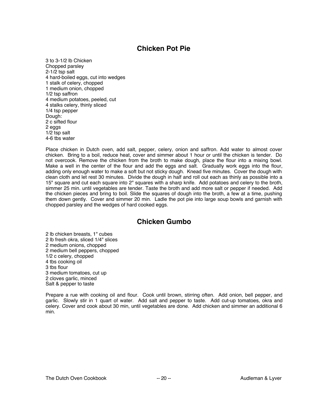# **Chicken Pot Pie**

3 to 3-1/2 lb Chicken Chopped parsley 2-1/2 tsp salt 4 hard-boiled eggs, cut into wedges 1 stalk of celery, chopped 1 medium onion, chopped 1/2 tsp saffron 4 medium potatoes, peeled, cut 4 stalks celery, thinly sliced 1/4 tsp pepper Dough: 2 c sifted flour 2 eggs 1/2 tsp salt 4-6 tbs water

Place chicken in Dutch oven, add salt, pepper, celery, onion and saffron. Add water to almost cover chicken. Bring to a boil, reduce heat, cover and simmer about 1 hour or until the chicken is tender. Do not overcook. Remove the chicken from the broth to make dough, place the flour into a mixing bowl. Make a well in the center of the flour and add the eggs and salt. Gradually work eggs into the flour, adding only enough water to make a soft but not sticky dough. Knead five minutes. Cover the dough with clean cloth and let rest 30 minutes. Divide the dough in half and roll out each as thinly as possible into a 15" square and cut each square into 2" squares with a sharp knife. Add potatoes and celery to the broth, simmer 25 min. until vegetables are tender. Taste the broth and add more salt or pepper if needed. Add the chicken pieces and bring to boil. Slide the squares of dough into the broth, a few at a time, pushing them down gently. Cover and simmer 20 min. Ladle the pot pie into large soup bowls and garnish with chopped parsley and the wedges of hard cooked eggs.

## **Chicken Gumbo**

2 lb chicken breasts, 1" cubes 2 lb fresh okra, sliced 1/4" slices 2 medium onions, chopped 2 medium bell peppers, chopped 1/2 c celery, chopped 4 tbs cooking oil 3 tbs flour 3 medium tomatoes, cut up 2 cloves garlic, minced Salt & pepper to taste

Prepare a rue with cooking oil and flour. Cook until brown, stirring often. Add onion, bell pepper, and garlic. Slowly stir in 1 quart of water. Add salt and pepper to taste. Add cut-up tomatoes, okra and celery. Cover and cook about 30 min, until vegetables are done. Add chicken and simmer an additional 6 min.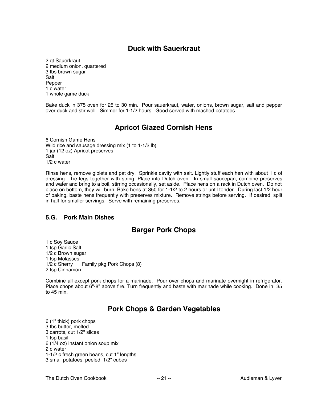#### **Duck with Sauerkraut**

2 qt Sauerkraut 2 medium onion, quartered 3 tbs brown sugar Salt Pepper 1 c water 1 whole game duck

Bake duck in 375 oven for 25 to 30 min. Pour sauerkraut, water, onions, brown sugar, salt and pepper over duck and stir well. Simmer for 1-1/2 hours. Good served with mashed potatoes.

## **Apricot Glazed Cornish Hens**

6 Cornish Game Hens Wild rice and sausage dressing mix (1 to 1-1/2 lb) 1 jar (12 oz) Apricot preserves Salt 1/2 c water

Rinse hens, remove giblets and pat dry. Sprinkle cavity with salt. Lightly stuff each hen with about 1 c of dressing. Tie legs together with string. Place into Dutch oven. In small saucepan, combine preserves and water and bring to a boil, stirring occasionally, set aside. Place hens on a rack in Dutch oven. Do not place on bottom, they will burn. Bake hens at 350 for 1-1/2 to 2 hours or until tender. During last 1/2 hour of baking, baste hens frequently with preserves mixture. Remove strings before serving. If desired, split in half for smaller servings. Serve with remaining preserves.

#### **5.G. Pork Main Dishes**

#### **Barger Pork Chops**

1 c Soy Sauce 1 tsp Garlic Salt 1/2 c Brown sugar 1 tsp Molasses<br>1/2 c Sherry Family pkg Pork Chops (8) 2 tsp Cinnamon

Combine all except pork chops for a marinade. Pour over chops and marinate overnight in refrigerator. Place chops about 6"-8" above fire. Turn frequently and baste with marinade while cooking. Done in 35 to 45 min.

# **Pork Chops & Garden Vegetables**

6 (1" thick) pork chops 3 tbs butter, melted 3 carrots, cut 1/2" slices 1 tsp basil 6 (1/4 oz) instant onion soup mix 2 c water 1-1/2 c fresh green beans, cut 1" lengths 3 small potatoes, peeled, 1/2" cubes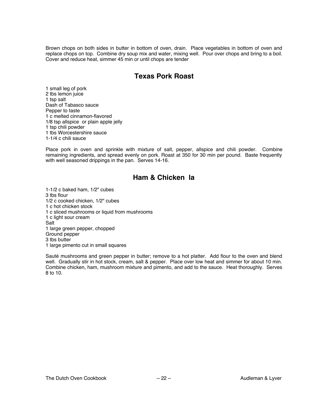Brown chops on both sides in butter in bottom of oven, drain. Place vegetables in bottom of oven and replace chops on top. Combine dry soup mix and water, mixing well. Pour over chops and bring to a boil. Cover and reduce heat, simmer 45 min or until chops are tender

# **Texas Pork Roast**

1 small leg of pork 2 tbs lemon juice 1 tsp salt Dash of Tabasco sauce Pepper to taste 1 c melted cinnamon-flavored 1/8 tsp allspice or plain apple jelly 1 tsp chili powder 1 tbs Worcestershire sauce 1-1/4 c chili sauce

Place pork in oven and sprinkle with mixture of salt, pepper, allspice and chili powder. Combine remaining ingredients, and spread evenly on pork. Roast at 350 for 30 min per pound. Baste frequently with well seasoned drippings in the pan. Serves 14-16.

## **Ham & Chicken la**

1-1/2 c baked ham, 1/2" cubes 3 tbs flour 1/2 c cooked chicken, 1/2" cubes 1 c hot chicken stock 1 c sliced mushrooms or liquid from mushrooms 1 c light sour cream Salt 1 large green pepper, chopped Ground pepper 3 tbs butter 1 large pimento cut in small squares

Sauté mushrooms and green pepper in butter; remove to a hot platter. Add flour to the oven and blend well. Gradually stir in hot stock, cream, salt & pepper. Place over low heat and simmer for about 10 min. Combine chicken, ham, mushroom mixture and pimento, and add to the sauce. Heat thoroughly. Serves 8 to 10.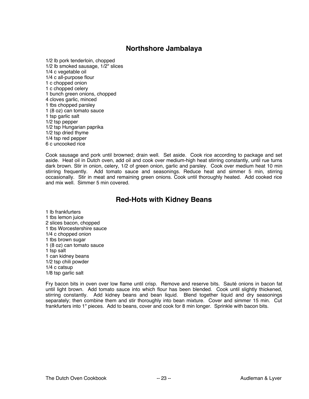## **Northshore Jambalaya**

1/2 lb pork tenderloin, chopped 1/2 lb smoked sausage, 1/2" slices 1/4 c vegetable oil 1/4 c all-purpose flour 1 c chopped onion 1 c chopped celery 1 bunch green onions, chopped 4 cloves garlic, minced 1 tbs chopped parsley 1 (8 oz) can tomato sauce 1 tsp garlic salt 1/2 tsp pepper 1/2 tsp Hungarian paprika 1/2 tsp dried thyme 1/4 tsp red pepper 6 c uncooked rice

Cook sausage and pork until browned; drain well. Set aside. Cook rice according to package and set aside. Heat oil in Dutch oven, add oil and cook over medium-high heat stirring constantly, until rue turns dark brown. Stir in onion, celery, 1/2 of green onion, garlic and parsley. Cook over medium heat 10 min stirring frequently. Add tomato sauce and seasonings. Reduce heat and simmer 5 min, stirring occasionally. Stir in meat and remaining green onions. Cook until thoroughly heated. Add cooked rice and mix well. Simmer 5 min covered.

# **Red-Hots with Kidney Beans**

1 lb frankfurters 1 tbs lemon juice 2 slices bacon, chopped 1 tbs Worcestershire sauce 1/4 c chopped onion 1 tbs brown sugar 1 (8 oz) can tomato sauce 1 tsp salt 1 can kidney beans 1/2 tsp chili powder 1/4 c catsup 1/8 tsp garlic salt

Fry bacon bits in oven over low flame until crisp. Remove and reserve bits. Sauté onions in bacon fat until light brown. Add tomato sauce into which flour has been blended. Cook until slightly thickened, stirring constantly. Add kidney beans and bean liquid. Blend together liquid and dry seasonings separately; then combine them and stir thoroughly into bean mixture. Cover and simmer 15 min. Cut frankfurters into 1" pieces. Add to beans, cover and cook for 8 min longer. Sprinkle with bacon bits.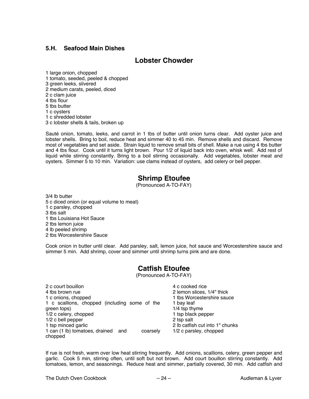#### **5.H. Seafood Main Dishes**

# **Lobster Chowder**

1 large onion, chopped 1 tomato, seeded, peeled & chopped 3 green leeks, slivered 2 medium carats, peeled, diced 2 c clam juice 4 tbs flour 5 tbs butter 1 c oysters

1 c shredded lobster

3 c lobster shells & tails, broken up

Sauté onion, tomato, leeks, and carrot in 1 tbs of butter until onion turns clear. Add oyster juice and lobster shells. Bring to boil, reduce heat and simmer 40 to 45 min. Remove shells and discard. Remove most of vegetables and set aside. Strain liquid to remove small bits of shell. Make a rue using 4 tbs butter and 4 tbs flour. Cook until it turns light brown. Pour 1/2 of liquid back into oven, whisk well. Add rest of liquid while stirring constantly. Bring to a boil stirring occasionally. Add vegetables, lobster meat and oysters. Simmer 5 to 10 min. Variation: use clams instead of oysters, add celery or bell pepper.

# **Shrimp Etoufee**

(Pronounced A-TO-FAY)

3/4 lb butter 5 c diced onion (or equal volume to meat) 1 c parsley, chopped 3 tbs salt 1 tbs Louisiana Hot Sauce 2 tbs lemon juice 4 lb peeled shrimp 2 tbs Worcestershire Sauce

Cook onion in butter until clear. Add parsley, salt, lemon juice, hot sauce and Worcestershire sauce and simmer 5 min. Add shrimp, cover and simmer until shrimp turns pink and are done.

# **Catfish Etoufee**

(Pronounced A-TO-FAY)

2 c court bouillon 4 tbs brown rue 1 c onions, chopped 1 c scallions, chopped (including some of the green tops) 1/2 c celery, chopped 1/2 c bell pepper 1 tsp minced garlic 1 can (1 lb) tomatoes, drained and coarsely chopped

4 c cooked rice 2 lemon slices, 1/4" thick 1 tbs Worcestershire sauce 1 bay leaf 1/4 tsp thyme 1 tsp black pepper 2 tsp salt 2 lb catfish cut into 1" chunks 1/2 c parsley, chopped

If rue is not fresh, warm over low heat stirring frequently. Add onions, scallions, celery, green pepper and garlic. Cook 5 min, stirring often, until soft but not brown. Add court bouillon stirring constantly. Add tomatoes, lemon, and seasonings. Reduce heat and simmer, partially covered, 30 min. Add catfish and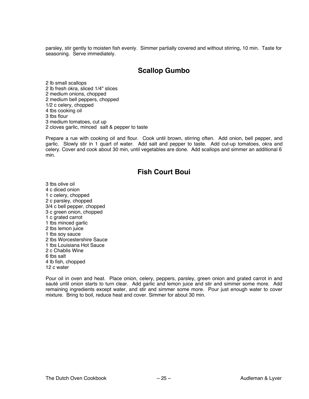parsley, stir gently to moisten fish evenly. Simmer partially covered and without stirring, 10 min. Taste for seasoning. Serve immediately.

# **Scallop Gumbo**

2 lb small scallops 2 lb fresh okra, sliced 1/4" slices 2 medium onions, chopped 2 medium bell peppers, chopped 1/2 c celery, chopped 4 tbs cooking oil 3 tbs flour 3 medium tomatoes, cut up 2 cloves garlic, minced salt & pepper to taste

Prepare a rue with cooking oil and flour. Cook until brown, stirring often. Add onion, bell pepper, and garlic. Slowly stir in 1 quart of water. Add salt and pepper to taste. Add cut-up tomatoes, okra and celery. Cover and cook about 30 min, until vegetables are done. Add scallops and simmer an additional 6 min.

# **Fish Court Boui**

3 tbs olive oil 4 c diced onion 1 c celery, chopped 2 c parsley, chopped 3/4 c bell pepper, chopped 3 c green onion, chopped 1 c grated carrot 1 tbs minced garlic 2 tbs lemon juice 1 tbs soy sauce 2 tbs Worcestershire Sauce 1 tbs Louisiana Hot Sauce 2 c Chablis Wine 6 tbs salt 4 lb fish, chopped 12 c water

Pour oil in oven and heat. Place onion, celery, peppers, parsley, green onion and grated carrot in and sauté until onion starts to turn clear. Add garlic and lemon juice and stir and simmer some more. Add remaining ingredients except water, and stir and simmer some more. Pour just enough water to cover mixture. Bring to boil, reduce heat and cover. Simmer for about 30 min.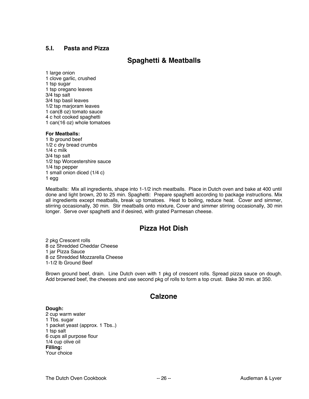#### **5.I. Pasta and Pizza**

# **Spaghetti & Meatballs**

1 large onion 1 clove garlic, crushed 1 tsp sugar 1 tsp oregano leaves 3/4 tsp salt 3/4 tsp basil leaves 1/2 tsp marjoram leaves 1 can(8 oz) tomato sauce 4 c hot cooked spaghetti 1 can(16 oz) whole tomatoes

#### **For Meatballs:**

1 lb ground beef 1/2 c dry bread crumbs 1/4 c milk 3/4 tsp salt 1/2 tsp Worcestershire sauce 1/4 tsp pepper 1 small onion diced (1/4 c) 1 egg

Meatballs: Mix all ingredients, shape into 1-1/2 inch meatballs. Place in Dutch oven and bake at 400 until done and light brown, 20 to 25 min. Spaghetti: Prepare spaghetti according to package instructions. Mix all ingredients except meatballs, break up tomatoes. Heat to boiling, reduce heat. Cover and simmer, stirring occasionally, 30 min. Stir meatballs onto mixture, Cover and simmer stirring occasionally, 30 min longer. Serve over spaghetti and if desired, with grated Parmesan cheese.

# **Pizza Hot Dish**

2 pkg Crescent rolls 8 oz Shredded Cheddar Cheese 1 jar Pizza Sauce 8 oz Shredded Mozzarella Cheese 1-1/2 lb Ground Beef

Brown ground beef, drain. Line Dutch oven with 1 pkg of crescent rolls. Spread pizza sauce on dough. Add browned beef, the cheeses and use second pkg of rolls to form a top crust. Bake 30 min. at 350.

#### **Calzone**

#### **Dough:**

2 cup warm water 1 Tbs. sugar 1 packet yeast (approx. 1 Tbs..) 1 tsp salt 6 cups all purpose flour 1/4 cup olive oil **Filling:** Your choice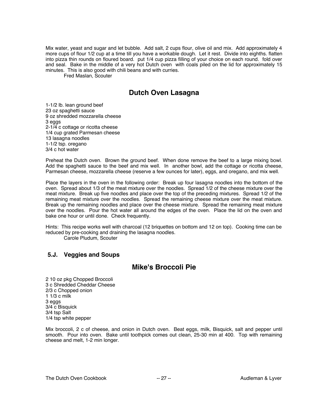Mix water, yeast and sugar and let bubble. Add salt, 2 cups flour, olive oil and mix. Add approximately 4 more cups of flour 1/2 cup at a time till you have a workable dough. Let it rest. Divide into eighths. flatten into pizza thin rounds on floured board. put 1/4 cup pizza filling of your choice on each round. fold over and seal. Bake in the middle of a very hot Dutch oven with coals piled on the lid for approximately 15 minutes. This is also good with chili beans and with curries.

Fred Maslan, Scouter

## **Dutch Oven Lasagna**

1-1/2 lb. lean ground beef 23 oz spaghetti sauce 9 oz shredded mozzarella cheese 3 eggs 2-1/4 c cottage or ricotta cheese 1/4 cup grated Parmesan cheese 13 lasagna noodles 1-1/2 tsp. oregano 3/4 c hot water

Preheat the Dutch oven. Brown the ground beef. When done remove the beef to a large mixing bowl. Add the spaghetti sauce to the beef and mix well. In another bowl, add the cottage or ricotta cheese, Parmesan cheese, mozzarella cheese (reserve a few ounces for later), eggs, and oregano, and mix well.

Place the layers in the oven in the following order: Break up four lasagna noodles into the bottom of the oven. Spread about 1/3 of the meat mixture over the noodles. Spread 1/2 of the cheese mixture over the meat mixture. Break up five noodles and place over the top of the preceding mixtures. Spread 1/2 of the remaining meat mixture over the noodles. Spread the remaining cheese mixture over the meat mixture. Break up the remaining noodles and place over the cheese mixture. Spread the remaining meat mixture over the noodles. Pour the hot water all around the edges of the oven. Place the lid on the oven and bake one hour or until done. Check frequently.

Hints: This recipe works well with charcoal (12 briquettes on bottom and 12 on top). Cooking time can be reduced by pre-cooking and draining the lasagna noodles.

Carole Pludum, Scouter

#### **5.J. Veggies and Soups**

#### **Mike's Broccoli Pie**

2 10 oz pkg Chopped Broccoli 3 c Shredded Cheddar Cheese 2/3 c Chopped onion 1 1/3 c milk 3 eggs 3/4 c Bisquick 3/4 tsp Salt 1/4 tsp white pepper

Mix broccoli, 2 c of cheese, and onion in Dutch oven. Beat eggs, milk, Bisquick, salt and pepper until smooth. Pour into oven. Bake until toothpick comes out clean, 25-30 min at 400. Top with remaining cheese and melt, 1-2 min longer.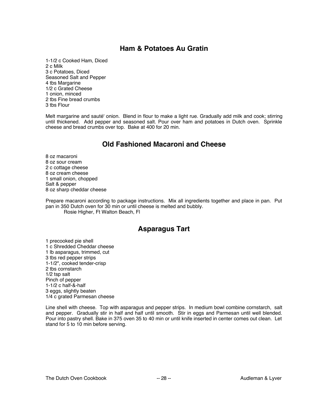# **Ham & Potatoes Au Gratin**

1-1/2 c Cooked Ham, Diced 2 c Milk 3 c Potatoes, Diced Seasoned Salt and Pepper 4 tbs Margarine 1/2 c Grated Cheese 1 onion, minced 2 tbs Fine bread crumbs 3 tbs Flour

Melt margarine and sauté' onion. Blend in flour to make a light rue. Gradually add milk and cook; stirring until thickened. Add pepper and seasoned salt. Pour over ham and potatoes in Dutch oven. Sprinkle cheese and bread crumbs over top. Bake at 400 for 20 min.

# **Old Fashioned Macaroni and Cheese**

8 oz macaroni 8 oz sour cream 2 c cottage cheese 8 oz cream cheese 1 small onion, chopped Salt & pepper 8 oz sharp cheddar cheese

Prepare macaroni according to package instructions. Mix all ingredients together and place in pan. Put pan in 350 Dutch oven for 30 min or until cheese is melted and bubbly. Rosie Higher, Ft Walton Beach, Fl

## **Asparagus Tart**

1 precooked pie shell 1 c Shredded Cheddar cheese 1 lb asparagus, trimmed, cut 3 tbs red pepper strips 1-1/2", cooked tender-crisp 2 tbs cornstarch 1/2 tsp salt Pinch of pepper 1-1/2 c half-&-half 3 eggs, slightly beaten 1/4 c grated Parmesan cheese

Line shell with cheese. Top with asparagus and pepper strips. In medium bowl combine cornstarch, salt and pepper. Gradually stir in half and half until smooth. Stir in eggs and Parmesan until well blended. Pour into pastry shell. Bake in 375 oven 35 to 40 min or until knife inserted in center comes out clean. Let stand for 5 to 10 min before serving.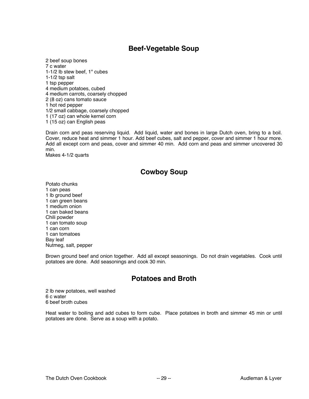# **Beef-Vegetable Soup**

2 beef soup bones 7 c water 1-1/2 lb stew beef, 1" cubes 1-1/2 tsp salt 1 tsp pepper 4 medium potatoes, cubed 4 medium carrots, coarsely chopped 2 (8 oz) cans tomato sauce 1 hot red pepper 1/2 small cabbage, coarsely chopped 1 (17 oz) can whole kernel corn 1 (15 oz) can English peas

Drain corn and peas reserving liquid. Add liquid, water and bones in large Dutch oven, bring to a boil. Cover, reduce heat and simmer 1 hour. Add beef cubes, salt and pepper, cover and simmer 1 hour more. Add all except corn and peas, cover and simmer 40 min. Add corn and peas and simmer uncovered 30 min.

Makes 4-1/2 quarts

## **Cowboy Soup**

Potato chunks 1 can peas 1 lb ground beef 1 can green beans 1 medium onion 1 can baked beans Chili powder 1 can tomato soup 1 can corn 1 can tomatoes Bay leaf Nutmeg, salt, pepper

Brown ground beef and onion together. Add all except seasonings. Do not drain vegetables. Cook until potatoes are done. Add seasonings and cook 30 min.

## **Potatoes and Broth**

2 lb new potatoes, well washed 6 c water 6 beef broth cubes

Heat water to boiling and add cubes to form cube. Place potatoes in broth and simmer 45 min or until potatoes are done. Serve as a soup with a potato.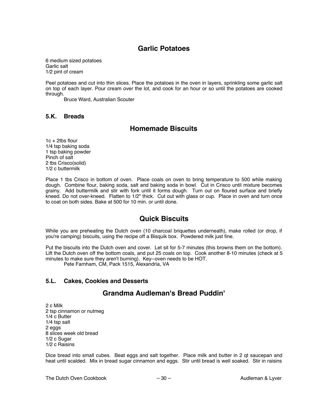# **Garlic Potatoes**

6 medium sized potatoes Garlic salt 1/2 pint of cream

Peel potatoes and cut into thin slices. Place the potatoes in the oven in layers, sprinkling some garlic salt on top of each layer. Pour cream over the lot, and cook for an hour or so until the potatoes are cooked through.

Bruce Ward, Australian Scouter

#### **5.K. Breads**

#### **Homemade Biscuits**

1c + 2tbs flour 1/4 tsp baking soda 1 tsp baking powder Pinch of salt 2 tbs Crisco(solid) 1/2 c buttermilk

Place 1 tbs Crisco in bottom of oven. Place coals on oven to bring temperature to 500 while making dough. Combine flour, baking soda, salt and baking soda in bowl. Cut in Crisco until mixture becomes grainy. Add buttermilk and stir with fork until it forms dough. Turn out on floured surface and briefly kneed. Do not over-kneed. Flatten to 1/2" thick. Cut out with glass or cup. Place in oven and turn once to coat on both sides. Bake at 500 for 10 min. or until done.

# **Quick Biscuits**

While you are preheating the Dutch oven (10 charcoal briquettes underneath), make rolled (or drop, if you're camping) biscuits, using the recipe off a Bisquik box. Powdered milk just fine.

Put the biscuits into the Dutch oven and cover. Let sit for 5-7 minutes (this browns them on the bottom). Lift the Dutch oven off the bottom coals, and put 25 coals on top. Cook another 8-10 minutes (check at 5 minutes to make sure they aren't burning). Key--oven needs to be HOT. Pete Farnham, CM, Pack 1515, Alexandria, VA

#### **5.L. Cakes, Cookies and Desserts**

# **Grandma Audleman's Bread Puddin'**

2 c Milk 2 tsp cinnamon or nutmeg 1/4 c Butter 1/4 tsp salt 2 eggs 8 slices week old bread 1/2 c Sugar 1/2 c Raisins

Dice bread into small cubes. Beat eggs and salt together. Place milk and butter in 2 qt saucepan and heat until scalded. Mix in bread sugar cinnamon and eggs. Stir until bread is well soaked. Stir in raisins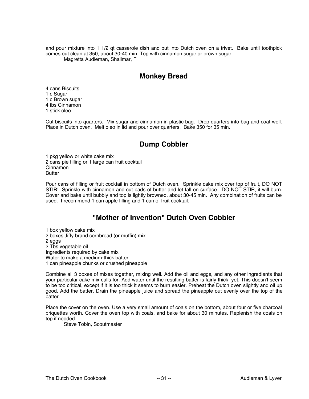and pour mixture into 1 1/2 qt casserole dish and put into Dutch oven on a trivet. Bake until toothpick comes out clean at 350, about 30-40 min. Top with cinnamon sugar or brown sugar. Magretta Audleman, Shalimar, Fl

## **Monkey Bread**

4 cans Biscuits 1 c Sugar 1 c Brown sugar 4 tbs Cinnamon 1 stick oleo

Cut biscuits into quarters. Mix sugar and cinnamon in plastic bag. Drop quarters into bag and coat well. Place in Dutch oven. Melt oleo in lid and pour over quarters. Bake 350 for 35 min.

# **Dump Cobbler**

1 pkg yellow or white cake mix 2 cans pie filling or 1 large can fruit cocktail Cinnamon **Butter** 

Pour cans of filling or fruit cocktail in bottom of Dutch oven. Sprinkle cake mix over top of fruit, DO NOT STIR! Sprinkle with cinnamon and cut pads of butter and let fall on surface. DO NOT STIR, it will burn. Cover and bake until bubbly and top is lightly browned, about 30-45 min. Any combination of fruits can be used. I recommend 1 can apple filling and 1 can of fruit cocktail.

## **"Mother of Invention" Dutch Oven Cobbler**

1 box yellow cake mix 2 boxes Jiffy brand cornbread (or muffin) mix 2 eggs 2 Tbs vegetable oil Ingredients required by cake mix Water to make a medium-thick batter 1 can pineapple chunks or crushed pineapple

Combine all 3 boxes of mixes together, mixing well. Add the oil and eggs, and any other ingredients that your particular cake mix calls for. Add water until the resulting batter is fairly thick yet. This doesn't seem to be too critical, except if it is too thick it seems to burn easier. Preheat the Dutch oven slightly and oil up good. Add the batter. Drain the pineapple juice and spread the pineapple out evenly over the top of the batter.

Place the cover on the oven. Use a very small amount of coals on the bottom, about four or five charcoal briquettes worth. Cover the oven top with coals, and bake for about 30 minutes. Replenish the coals on top if needed.

Steve Tobin, Scoutmaster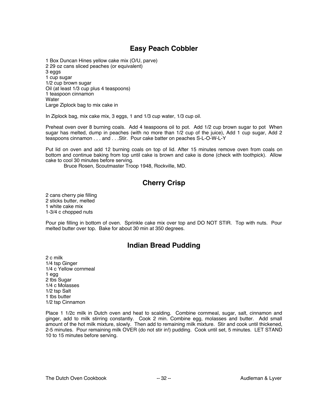# **Easy Peach Cobbler**

1 Box Duncan Hines yellow cake mix (O/U, parve) 2 29 oz cans sliced peaches (or equivalent) 3 eggs 1 cup sugar 1/2 cup brown sugar Oil (at least 1/3 cup plus 4 teaspoons) 1 teaspoon cinnamon **Water** Large Ziplock bag to mix cake in

In Ziplock bag, mix cake mix, 3 eggs, 1 and 1/3 cup water, 1/3 cup oil.

Preheat oven over 8 burning coals. Add 4 teaspoons oil to pot. Add 1/2 cup brown sugar to pot When sugar has melted, dump in peaches (with no more than 1/2 cup of the juice), Add 1 cup sugar, Add 2 teaspoons cinnamon . . . and . . .Stir. Pour cake batter on peaches S-L-O-W-L-Y

Put lid on oven and add 12 burning coals on top of lid. After 15 minutes remove oven from coals on bottom and continue baking from top until cake is brown and cake is done (check with toothpick). Allow cake to cool 30 minutes before serving.

Bruce Rosen, Scoutmaster Troop 1948, Rockville, MD.

# **Cherry Crisp**

2 cans cherry pie filling 2 sticks butter, melted 1 white cake mix 1-3/4 c chopped nuts

Pour pie filling in bottom of oven. Sprinkle cake mix over top and DO NOT STIR. Top with nuts. Pour melted butter over top. Bake for about 30 min at 350 degrees.

## **Indian Bread Pudding**

2 c milk 1/4 tsp Ginger 1/4 c Yellow cornmeal 1 egg 2 tbs Sugar 1/4 c Molasses 1/2 tsp Salt 1 tbs butter 1/2 tsp Cinnamon

Place 1 1/2c milk in Dutch oven and heat to scalding. Combine cornmeal, sugar, salt, cinnamon and ginger, add to milk stirring constantly. Cook 2 min. Combine egg, molasses and butter. Add small amount of the hot milk mixture, slowly. Then add to remaining milk mixture. Stir and cook until thickened, 2-5 minutes. Pour remaining milk OVER (do not stir in!) pudding. Cook until set, 5 minutes. LET STAND 10 to 15 minutes before serving.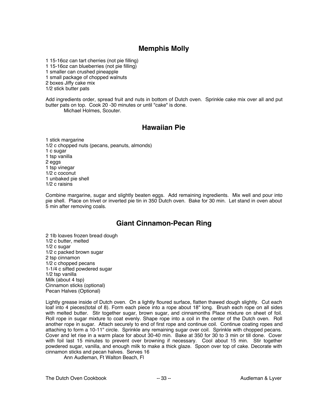# **Memphis Molly**

1 15-16oz can tart cherries (not pie filling) 1 15-16oz can blueberries (not pie filling) 1 smaller can crushed pineapple 1 small package of chopped walnuts 2 boxes Jiffy cake mix 1/2 stick butter pats

Add ingredients order, spread fruit and nuts in bottom of Dutch oven. Sprinkle cake mix over all and put butter pats on top. Cook 20 -30 minutes or until "cake" is done. Michael Holmes, Scouter.

#### **Hawaiian Pie**

1 stick margarine 1/2 c chopped nuts (pecans, peanuts, almonds) 1 c sugar 1 tsp vanilla 2 eggs 1 tsp vinegar 1/2 c coconut 1 unbaked pie shell 1/2 c raisins

Combine margarine, sugar and slightly beaten eggs. Add remaining ingredients. Mix well and pour into pie shell. Place on trivet or inverted pie tin in 350 Dutch oven. Bake for 30 min. Let stand in oven about 5 min after removing coals.

#### **Giant Cinnamon-Pecan Ring**

2 1lb loaves frozen bread dough 1/2 c butter, melted 1/2 c sugar 1/2 c packed brown sugar 2 tsp cinnamon 1/2 c chopped pecans 1-1/4 c sifted powdered sugar 1/2 tsp vanilla Milk (about 4 tsp) Cinnamon sticks (optional) Pecan Halves (Optional)

Lightly grease inside of Dutch oven. On a lightly floured surface, flatten thawed dough slightly. Cut each loaf into 4 pieces(total of 8). Form each piece into a rope about 18" long. Brush each rope on all sides with melted butter. Stir together sugar, brown sugar, and cinnamonths Place mixture on sheet of foil. Roll rope in sugar mixture to coat evenly. Shape rope into a coil in the center of the Dutch oven. Roll another rope in sugar. Attach securely to end of first rope and continue coil. Continue coating ropes and attaching to form a 10-11" circle. Sprinkle any remaining sugar over coil. Sprinkle with chopped pecans. Cover and let rise in a warm place for about 30-40 min. Bake at 350 for 30 to 3 min or till done. Cover with foil last 15 minutes to prevent over browning if necessary. Cool about 15 min. Stir together powdered sugar, vanilla, and enough milk to make a thick glaze. Spoon over top of cake. Decorate with cinnamon sticks and pecan halves. Serves 16

Ann Audleman, Ft Walton Beach, Fl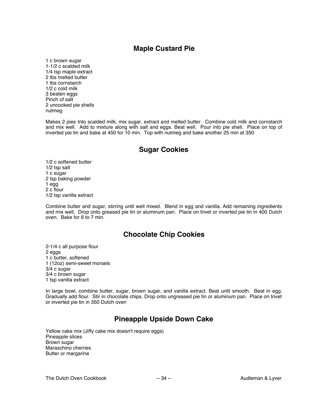# **Maple Custard Pie**

1 c brown sugar 1-1/2 c scalded milk 1/4 tsp maple extract 2 tbs melted butter 1 tbs cornstarch 1/2 c cold milk 3 beaten eggs Pinch of salt 2 uncooked pie shells nutmeg

Makes 2 pies Into scalded milk, mix sugar, extract and melted butter. Combine cold milk and cornstarch and mix well. Add to mixture along with salt and eggs. Beat well. Pour into pie shell. Place on top of inverted pie tin and bake at 450 for 10 min. Top with nutmeg and bake another 25 min at 350

# **Sugar Cookies**

1/2 c softened butter 1/2 tsp salt 1 c sugar 2 tsp baking powder 1 egg 2 c flour 1/2 tsp vanilla extract

Combine butter and sugar, stirring until well mixed. Blend in egg and vanilla. Add remaining ingredients and mix well. Drop onto greased pie tin or aluminum pan. Place on trivet or inverted pie tin in 400 Dutch oven. Bake for 6 to 7 min.

## **Chocolate Chip Cookies**

2-1/4 c all purpose flour 2 eggs 1 c butter, softened 1 (12oz) semi-sweet morsels 3/4 c sugar 3/4 c brown sugar 1 tsp vanilla extract

In large bowl, combine butter, sugar, brown sugar, and vanilla extract. Beat until smooth. Beat in egg. Gradually add flour. Stir in chocolate chips. Drop onto ungreased pie tin or aluminum pan. Place on trivet or inverted pie tin in 350 Dutch oven

## **Pineapple Upside Down Cake**

Yellow cake mix (Jiffy cake mix doesn't require eggs) Pineapple slices Brown sugar Maraschino cherries Butter or margarine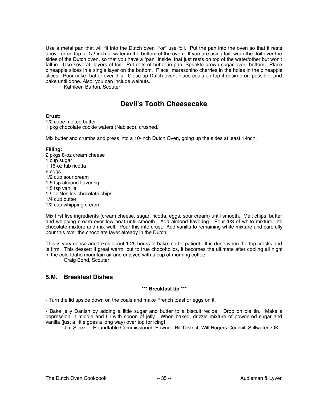Use a metal pan that will fit into the Dutch oven \*or\* use foil. Put the pan into the oven so that it rests above or on top of 1/2 inch of water in the bottom of the oven. If you are using foil, wrap the foil over the sides of the Dutch oven, so that you have a "pan" inside that just rests on top of the water/other but won't fall in. Use several layers of foil. Put dots of butter in pan. Sprinkle brown sugar over bottom. Place pineapple slices in a single layer on the bottom. Place maraschino cherries in the holes in the pineapple slices. Pour cake batter over this. Close up Dutch oven, place coals on top if desired or possible, and bake until done. Also, you can include walnuts.

Kathleen Burton, Scouter

# **Devil's Tooth Cheesecake**

#### **Crust:**

1/2 cube melted butter 1 pkg chocolate cookie wafers (Nabisco), crushed.

Mix butter and crumbs and press into a 10-inch Dutch Oven, going up the sides at least 1-inch.

#### **Filling:**

2 pkgs 8-oz cream cheese 1 cup sugar 1 16-oz tub ricotta 6 eggs 1/2 cup sour cream 1.5 tsp almond flavoring 1.5 tsp vanilla 12 oz Nestles chocolate chips 1/4 cup butter 1/2 cup whipping cream.

Mix first five ingredients (cream cheese, sugar, ricotta, eggs, sour cream) until smooth. Melt chips, butter and whipping cream over low heat until smooth. Add almond flavoring. Pour 1/3 of white mixture into chocolate mixture and mix well. Pour this into crust. Add vanilla to remaining white mixture and carefully pour this over the chocolate layer already in the Dutch.

This is very dense and takes about 1.25 hours to bake, so be patient. It is done when the top cracks and is firm. This dessert if great warm, but to true chocoholics, it becomes the ultimate after cooling all night in the cold Idaho mountain air and enjoyed with a cup of morning coffee.

Craig Bond, Scouter

#### **5.M. Breakfast Dishes**

#### **\*\*\* Breakfast tip \*\*\***

- Turn the lid upside down on the coals and make French toast or eggs on it.

- Bake jelly Danish by adding a little sugar and butter to a biscuit recipe. Drop on pie tin. Make a depression in middle and fill with spoon of jelly. When baked, drizzle mixture of powdered sugar and vanilla (just a little goes a long way) over top for icing!

Jim Sleezer, Roundtable Commissioner, Pawnee Bill District, Will Rogers Council, Stillwater, OK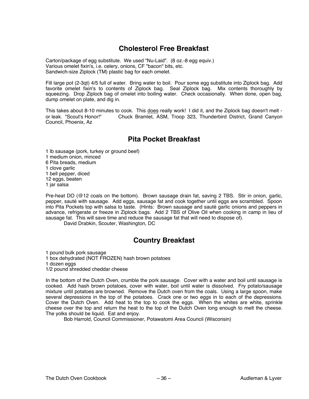# **Cholesterol Free Breakfast**

Carton/package of egg substitute. We used "Nu-Laid". (8 oz.-8 egg equiv.) Various omelet fixin's, i.e. celery, onions, CF "bacon" bits, etc. Sandwich-size Ziplock (TM) plastic bag for each omelet.

Fill large pot (2-3qt) 4/5 full of water. Bring water to boil. Pour some egg substitute into Ziplock bag. Add favorite omelet fixin's to contents of Ziplock bag. Seal Ziplock bag. Mix contents thoroughly by squeezing. Drop Ziplock bag of omelet into boiling water. Check occasionally. When done, open bag, dump omelet on plate, and dig in.

This takes about 8-10 minutes to cook. This does really work! I did it, and the Ziplock bag doesn't melt - or leak. "Scout's Honor!" Chuck Bramlet, ASM, Troop 323, Thunderbird District, Grand Canyon Chuck Bramlet, ASM, Troop 323, Thunderbird District, Grand Canyon Council, Phoenix, Az

# **Pita Pocket Breakfast**

1 lb sausage (pork, turkey or ground beef) 1 medium onion, minced 6 Pita breads, medium 1 clove garlic 1 bell pepper, diced 12 eggs, beaten 1 jar salsa

Pre-heat DO (@12 coals on the bottom). Brown sausage drain fat, saving 2 TBS. Stir in onion, garlic, pepper, sauté with sausage. Add eggs, sausage fat and cook together until eggs are scrambled. Spoon into Pita Pockets top with salsa to taste. (Hints: Brown sausage and sauté garlic onions and peppers in advance, refrigerate or freeze in Ziplock bags. Add 2 TBS of Olive Oil when cooking in camp in lieu of sausage fat. This will save time and reduce the sausage fat that will need to dispose of).

David Drabkin, Scouter, Washington, DC

# **Country Breakfast**

1 pound bulk pork sausage 1 box dehydrated (NOT FROZEN) hash brown potatoes 1 dozen eggs 1/2 pound shredded cheddar cheese

In the bottom of the Dutch Oven, crumble the pork sausage. Cover with a water and boil until sausage is cooked. Add hash brown potatoes, cover with water, boil until water is dissolved. Fry potato/sausage mixture until potatoes are browned. Remove the Dutch oven from the coals. Using a large spoon, make several depressions in the top of the potatoes. Crack one or two eggs in to each of the depressions. Cover the Dutch Oven. Add heat to the top to cook the eggs. When the whites are white, sprinkle cheese over the top and return the heat to the top of the Dutch Oven long enough to melt the cheese. The yolks should be liquid. Eat and enjoy.

Bob Harrold, Council Commissioner, Potawatomi Area Council (Wisconsin)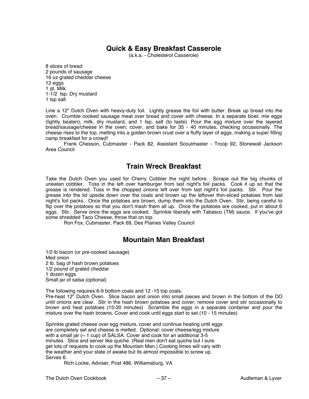#### **Quick & Easy Breakfast Casserole**

(a.k.a. - Cholesterol Casserole)

8 slices of bread 2 pounds of sausage 16 oz grated cheddar cheese 12 eggs 1 qt. Milk 1-1/2 tsp. Dry mustard 1 tsp salt

Line a 12" Dutch Oven with heavy-duty foil. Lightly grease the foil with butter. Break up bread into the oven. Crumble cooked sausage meat over bread and cover with cheese. In a separate bowl, mix eggs (lightly beaten), milk, dry mustard, and 1 tsp. salt (to taste). Pour the egg mixture over the layered bread/sausage/cheese in the oven, cover, and bake for 35 - 40 minutes, checking occasionally. The cheese rises to the top, melting into a golden brown crust over a fluffy layer of eggs, making a super filling camp breakfast for a crowd!

Frank Chesson, Cubmaster - Pack 82, Assistant Scoutmaster - Troop 92, Stonewall Jackson Area Council

#### **Train Wreck Breakfast**

Take the Dutch Oven you used for Cherry Cobbler the night before. Scrape out the big chunks of uneaten cobbler. Toss in the left over hamburger from last night's foil packs. Cook it up so that the grease is rendered. Toss in the chopped onions left over from last night's foil packs. Stir. Pour the grease into the lid upside down over the coals and brown up the leftover thin-sliced potatoes from last night's foil packs. Once the potatoes are brown, dump them into the Dutch Oven. Stir, being careful to flip over the potatoes so that you don't mash them all up. Once the potatoes are cooked, put in about 6 eggs. Stir. Serve once the eggs are cooked. Sprinkle liberally with Tabasco (TM) sauce. If you've got some shredded Taco Cheese, throw that on top.

Ron Fox, Cubmaster, Pack 69, Des Plaines Valley Council

## **Mountain Man Breakfast**

1/2 lb bacon (or pre-cooked sausage) Med onion 2 lb. bag of hash brown potatoes 1/2 pound of grated cheddar 1 dozen eggs Small jar of salsa (optional)

The following requires 6-9 bottom coals and 12 -15 top coals:

Pre-heat 12" Dutch Oven. Slice bacon and onion into small pieces and brown in the bottom of the DO until onions are clear. Stir in the hash brown potatoes and cover; remove cover and stir occasionally to brown and heat potatoes (15-20 minutes) Scramble the eggs in a separate container and pour the mixture over the hash browns. Cover and cook until eggs start to set.(10 - 15 minutes)

Sprinkle grated cheese over egg mixture, cover and continue heating until eggs are completely set and cheese is melted. Optional: cover cheese/egg mixture with a small jar  $($   $\sim$  1 cup) of SALSA. Cover and cook for an additional 3-5 minutes. Slice and server like quiche. (Real men don't eat quiche but I sure get lots of requests to cook up the Mountain Man.) Cooking times will vary with the weather and your state of awake but its almost impossible to screw up. Serves 6.

Rich Locke, Adviser, Post 486, Williamsburg, VA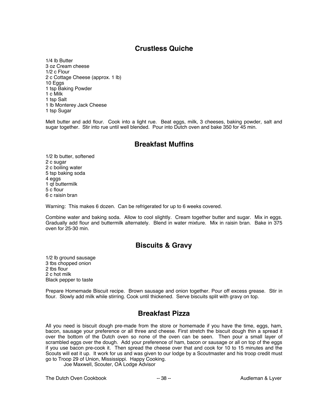# **Crustless Quiche**

1/4 lb Butter 3 oz Cream cheese 1/2 c Flour 2 c Cottage Cheese (approx. 1 lb) 10 Eggs 1 tsp Baking Powder 1 c Milk 1 tsp Salt 1 lb Monterey Jack Cheese 1 tsp Sugar

Melt butter and add flour. Cook into a light rue. Beat eggs, milk, 3 cheeses, baking powder, salt and sugar together. Stir into rue until well blended. Pour into Dutch oven and bake 350 for 45 min.

#### **Breakfast Muffins**

1/2 lb butter, softened 2 c sugar 2 c boiling water 5 tsp baking soda 4 eggs 1 qt buttermilk 5 c flour 6 c raisin bran

Warning: This makes 6 dozen. Can be refrigerated for up to 6 weeks covered.

Combine water and baking soda. Allow to cool slightly. Cream together butter and sugar. Mix in eggs. Gradually add flour and buttermilk alternately. Blend in water mixture. Mix in raisin bran. Bake in 375 oven for 25-30 min.

#### **Biscuits & Gravy**

1/2 lb ground sausage 3 tbs chopped onion 2 tbs flour 2 c hot milk Black pepper to taste

Prepare Homemade Biscuit recipe. Brown sausage and onion together. Pour off excess grease. Stir in flour. Slowly add milk while stirring. Cook until thickened. Serve biscuits split with gravy on top.

## **Breakfast Pizza**

All you need is biscuit dough pre-made from the store or homemade if you have the time, eggs, ham, bacon, sausage your preference or all three and cheese. First stretch the biscuit dough thin a spread it over the bottom of the Dutch oven so none of the oven can be seen. Then pour a small layer of scrambled eggs over the dough. Add your preference of ham, bacon or sausage or all on top of the eggs if you use bacon pre-cook it. Then spread the cheese over that and cook for 10 to 15 minutes and the Scouts will eat it up. It work for us and was given to our lodge by a Scoutmaster and his troop credit must go to Troop 29 of Union, Mississippi. Happy Cooking.

Joe Maxwell, Scouter, OA Lodge Advisor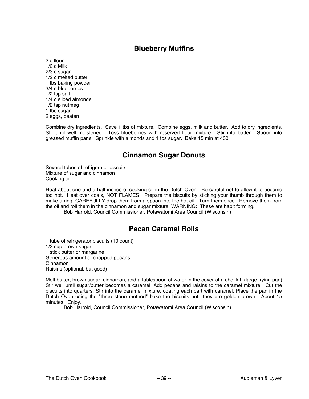## **Blueberry Muffins**

2 c flour 1/2 c Milk 2/3 c sugar 1/2 c melted butter 1 tbs baking powder 3/4 c blueberries 1/2 tsp salt 1/4 c sliced almonds 1/2 tsp nutmeg 1 tbs sugar 2 eggs, beaten

Combine dry ingredients. Save 1 tbs of mixture. Combine eggs, milk and butter. Add to dry ingredients. Stir until well moistened. Toss blueberries with reserved flour mixture. Stir into batter. Spoon into greased muffin pans. Sprinkle with almonds and 1 tbs sugar. Bake 15 min at 400

# **Cinnamon Sugar Donuts**

Several tubes of refrigerator biscuits Mixture of sugar and cinnamon Cooking oil

Heat about one and a half inches of cooking oil in the Dutch Oven. Be careful not to allow it to become too hot. Heat over coals, NOT FLAMES! Prepare the biscuits by sticking your thumb through them to make a ring. CAREFULLY drop them from a spoon into the hot oil. Turn them once. Remove them from the oil and roll them in the cinnamon and sugar mixture. WARNING: These are habit forming. Bob Harrold, Council Commissioner, Potawatomi Area Council (Wisconsin)

# **Pecan Caramel Rolls**

1 tube of refrigerator biscuits (10 count) 1/2 cup brown sugar 1 stick butter or margarine Generous amount of chopped pecans Cinnamon Raisins (optional, but good)

Melt butter, brown sugar, cinnamon, and a tablespoon of water in the cover of a chef kit. (large frying pan) Stir well until sugar/butter becomes a caramel. Add pecans and raisins to the caramel mixture. Cut the biscuits into quarters. Stir into the caramel mixture, coating each part with caramel. Place the pan in the Dutch Oven using the "three stone method" bake the biscuits until they are golden brown. About 15 minutes. Enjoy.

Bob Harrold, Council Commissioner, Potawatomi Area Council (Wisconsin)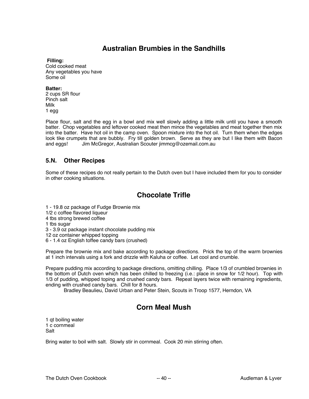#### **Australian Brumbies in the Sandhills**

 **Filling:**

Cold cooked meat Any vegetables you have Some oil

**Batter:**

2 cups SR flour Pinch salt Milk 1 egg

Place flour, salt and the egg in a bowl and mix well slowly adding a little milk until you have a smooth batter. Chop vegetables and leftover cooked meat then mince the vegetables and meat together then mix into the batter. Have hot oil in the camp oven. Spoon mixture into the hot oil. Turn them when the edges look tike crumpets that are bubbly. Fry till golden brown. Serve as they are but I like them with Bacon and eggs! Jim McGregor, Australian Scouter jimmcg@ozemail.com.au

#### **5.N. Other Recipes**

Some of these recipes do not really pertain to the Dutch oven but I have included them for you to consider in other cooking situations.

# **Chocolate Trifle**

1 - 19.8 oz package of Fudge Brownie mix

1/2 c coffee flavored liqueur

4 tbs strong brewed coffee

1 tbs sugar

3 - 3.9 oz package instant chocolate pudding mix

12 oz container whipped topping

6 - 1.4 oz English toffee candy bars (crushed)

Prepare the brownie mix and bake according to package directions. Prick the top of the warm brownies at 1 inch intervals using a fork and drizzle with Kaluha or coffee. Let cool and crumble.

Prepare pudding mix according to package directions, omitting chilling. Place 1/3 of crumbled brownies in the bottom of Dutch oven which has been chilled to freezing (i.e.: place in snow for 1/2 hour). Top with 1/3 of pudding, whipped toping and crushed candy bars. Repeat layers twice with remaining ingredients, ending with crushed candy bars. Chill for 8 hours.

Bradley Beaulieu, David Urban and Peter Stein, Scouts in Troop 1577, Herndon, VA

# **Corn Meal Mush**

1 qt boiling water 1 c cornmeal Salt

Bring water to boil with salt. Slowly stir in cornmeal. Cook 20 min stirring often.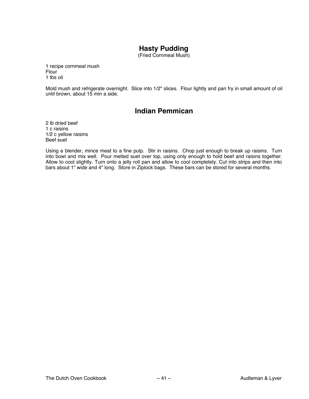# **Hasty Pudding**

(Fried Cornmeal Mush)

1 recipe cornmeal mush Flour 1 tbs oil

Mold mush and refrigerate overnight. Slice into 1/2" slices. Flour lightly and pan fry in small amount of oil until brown, about 15 min a side.

#### **Indian Pemmican**

2 lb dried beef 1 c raisins 1/2 c yellow raisins Beef suet

Using a blender, mince meat to a fine pulp. Stir in raisins. Chop just enough to break up raisins. Turn into bowl and mix well. Pour melted suet over top, using only enough to hold beef and raisins together. Allow to cool slightly. Turn onto a jelly roll pan and allow to cool completely. Cut into strips and then into bars about 1" wide and 4" long. Store in Ziplock bags. These bars can be stored for several months.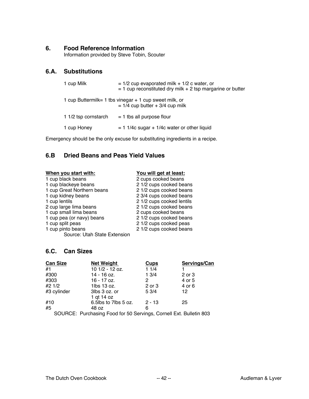#### **6. Food Reference Information**

Information provided by Steve Tobin, Scouter

#### **6.A. Substitutions**

| 1 cup Milk           | $= 1/2$ cup evaporated milk $+ 1/2$ c water, or<br>$=$ 1 cup reconstituted dry milk $+$ 2 tsp margarine or butter |
|----------------------|-------------------------------------------------------------------------------------------------------------------|
|                      | 1 cup Buttermilk= 1 tbs vinegar + 1 cup sweet milk, or<br>$= 1/4$ cup butter + 3/4 cup milk                       |
| 1 1/2 tsp cornstarch | $=$ 1 tbs all purpose flour                                                                                       |
| 1 cup Honey          | $= 1$ 1/4c sugar + 1/4c water or other liquid                                                                     |

Emergency should be the only excuse for substituting ingredients in a recipe.

#### **6.B Dried Beans and Peas Yield Values**

| When you start with:         | You will get at least:    |
|------------------------------|---------------------------|
| 1 cup black beans            | 2 cups cooked beans       |
| 1 cup blackeye beans         | 2 1/2 cups cooked beans   |
| 1 cup Great Northern beans   | 2 1/2 cups cooked beans   |
| 1 cup kidney beans           | 2 3/4 cups cooked beans   |
| 1 cup lentils                | 2 1/2 cups cooked lentils |
| 2 cup large lima beans       | 2 1/2 cups cooked beans   |
| 1 cup small lima beans       | 2 cups cooked beans       |
| 1 cup pea (or navy) beans    | 2 1/2 cups cooked beans   |
| 1 cup split peas             | 2 1/2 cups cooked peas    |
| 1 cup pinto beans            | 2 1/2 cups cooked beans   |
| Source: Utah State Extension |                           |

#### **6.C. Can Sizes**

| <b>Can Size</b> | Net Weight                                                          | <b>Cups</b> | Servings/Can |
|-----------------|---------------------------------------------------------------------|-------------|--------------|
| #1              | $101/2 - 12$ oz.                                                    | 11/4        |              |
| #300            | 14 - 16 oz.                                                         | 13/4        | 2 or 3       |
| #303            | 16 - 17 oz.                                                         | 2           | 4 or 5       |
| #2 1/2          | 1 $\mathsf{b}$ s 13 oz.                                             | 2 or 3      | 4 or 6       |
| #3 cylinder     | 3lbs 3 oz. or<br>1 gt 14 oz                                         | 5 3/4       | 12           |
| #10             | 6.5lbs to 7lbs 5 oz.                                                | $2 - 13$    | 25           |
| #5              | 48 oz                                                               | 6           |              |
|                 | COLIDCE: Durabooing Eaad for EQ Canvings, Carnoll Ext. Pullatin 902 |             |              |

SOURCE: Purchasing Food for 50 Servings, Cornell Ext. Bulletin 803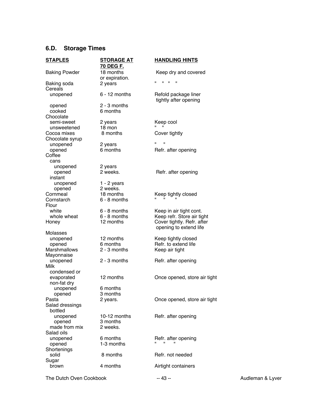# **6.D. Storage Times**

| <b>STAPLES</b>            | <b>STORAGE AT</b><br>70 DEG F. | <b>HANDLING HINTS</b>                                            |
|---------------------------|--------------------------------|------------------------------------------------------------------|
| <b>Baking Powder</b>      | 18 months<br>or expiration.    | Keep dry and covered                                             |
| Baking soda<br>Cereals    | 2 years                        | $\mathbf{H}$<br>$\mathbf{H}$<br>$\blacksquare$<br>$\blacksquare$ |
| unopened                  | $6 - 12$ months                | Refold package liner<br>tightly after opening                    |
| opened                    | 2 - 3 months                   |                                                                  |
| cooked                    | 6 months                       |                                                                  |
| Chocolate                 |                                |                                                                  |
| semi-sweet                | 2 years                        | Keep cool                                                        |
| unsweetened               | 18 mon                         |                                                                  |
| Cocoa mixes               | 8 months                       | Cover tightly                                                    |
| Chocolate syrup           |                                |                                                                  |
| unopened                  | 2 years                        | п<br>$\mathbf{H}$                                                |
| opened                    | 6 months                       | Refr. after opening                                              |
| Coffee                    |                                |                                                                  |
| cans                      |                                |                                                                  |
| unopened                  | 2 years                        |                                                                  |
| opened<br>instant         | 2 weeks.                       | Refr. after opening                                              |
| unopened                  | $1 - 2$ years                  |                                                                  |
| opened                    | 2 weeks.                       |                                                                  |
| Cornmeal                  | 18 months                      | Keep tightly closed                                              |
| Cornstarch                | 6 - 8 months                   | $\mathbf{H}$                                                     |
| Flour                     |                                |                                                                  |
| white                     | $6 - 8$ months                 | Keep in air tight cont.                                          |
| whole wheat               | 6 - 8 months                   | Keep refr. Store air tight                                       |
| Honey                     | 12 months                      | Cover tightly. Refr. after<br>opening to extend life             |
| Molasses                  |                                |                                                                  |
| unopened                  | 12 months                      | Keep tightly closed                                              |
| opened                    | 6 months                       | Refr. to extend life                                             |
| Marshmallows              | 2 - 3 months                   | Keep air tight                                                   |
| Mayonnaise                |                                |                                                                  |
| unopened                  | 2 - 3 months                   | Refr. after opening                                              |
| <b>Milk</b>               |                                |                                                                  |
| condensed or              | 12 months                      |                                                                  |
| evaporated<br>non-fat dry |                                | Once opened, store air tight                                     |
| unopened                  | 6 months                       |                                                                  |
| opened                    | 3 months                       |                                                                  |
| Pasta                     | 2 years.                       | Once opened, store air tight                                     |
| Salad dressings           |                                |                                                                  |
| bottled                   |                                |                                                                  |
| unopened                  | 10-12 months                   | Refr. after opening                                              |
| opened                    | 3 months                       |                                                                  |
| made from mix             | 2 weeks.                       |                                                                  |
| Salad oils                |                                |                                                                  |
| unopened                  | 6 months                       | Refr. after opening                                              |
| opened                    | 1-3 months                     | $\mathbf{H}$                                                     |
| Shortenings               |                                |                                                                  |
| solid                     | 8 months                       | Refr. not needed                                                 |
| Sugar                     |                                |                                                                  |
| brown                     | 4 months                       | Airtight containers                                              |
|                           |                                |                                                                  |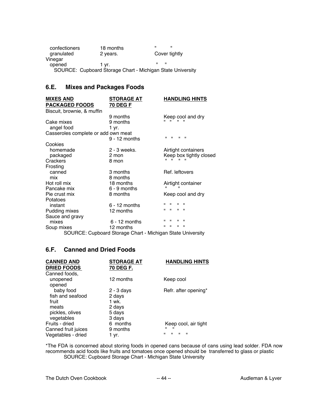confectioners 18 months "<br>granulated 2 years. Cover tightly granulated Vinegar<br>opened opened 1 yr. " " SOURCE: Cupboard Storage Chart - Michigan State University

#### **6.E. Mixes and Packages Foods**

| <b>MIXES AND</b>                    | <b>STORAGE AT</b>                                          | <b>HANDLING HINTS</b>                  |
|-------------------------------------|------------------------------------------------------------|----------------------------------------|
| <b>PACKAGED FOODS</b>               | <b>70 DEG F</b>                                            |                                        |
| Biscuit, brownie, & muffin          |                                                            |                                        |
|                                     | 9 months                                                   | Keep cool and dry                      |
| Cake mixes                          | 9 months                                                   |                                        |
| angel food                          | 1 yr.                                                      |                                        |
| Casseroles complete or add own meat |                                                            |                                        |
|                                     | $9 - 12$ months                                            | $\mathbf{H}$<br>$\mathbf{H}$<br>ш<br>п |
| Cookies                             |                                                            |                                        |
| homemade                            | 2 - 3 weeks.                                               | Airtight containers                    |
| packaged                            | 2 mon                                                      | Keep box tightly closed                |
| Crackers                            | 8 mon                                                      | ш<br>п.                                |
| Frosting                            |                                                            |                                        |
| canned                              | 3 months                                                   | Ref. leftovers                         |
| mix                                 | 8 months                                                   |                                        |
| Hot roll mix                        | 18 months                                                  | Airtight container                     |
| Pancake mix                         | 6 - 9 months                                               | "                                      |
| Pie crust mix                       | 8 months                                                   | Keep cool and dry                      |
| Potatoes                            |                                                            |                                        |
| instant                             | $6 - 12$ months                                            | п<br>п<br>$\mathbf{H}$<br>п            |
| Pudding mixes                       | 12 months                                                  | $\mathbf{H}$<br>п<br>п<br>п            |
| Sauce and gravy                     |                                                            |                                        |
| mixes                               | $6 - 12$ months                                            | п<br>ш<br>ш<br>п                       |
| Soup mixes                          | 12 months                                                  | п<br>п<br>ш<br>п                       |
|                                     | SOURCE: Cupboard Storage Chart - Michigan State University |                                        |

#### **6.F. Canned and Dried Foods**

| <b>CANNED AND</b><br><b>DRIED FOODS</b> | <b>STORAGE AT</b><br>70 DEG F. | <b>HANDLING HINTS</b>                  |
|-----------------------------------------|--------------------------------|----------------------------------------|
| Canned foods,                           |                                |                                        |
| unopened                                | 12 months                      | Keep cool                              |
| opened                                  |                                |                                        |
| baby food                               | $2 - 3$ days                   | Refr. after opening*                   |
| fish and seafood                        | 2 days                         |                                        |
| fruit                                   | 1 wk.                          |                                        |
| meats                                   | 2 days                         |                                        |
| pickles, olives                         | 5 days                         |                                        |
| vegetables                              | 3 days                         |                                        |
| Fruits - dried                          | 6 months                       | Keep cool, air tight                   |
| Canned fruit juices                     | 9 months                       | п<br>$\mathbf{u}$                      |
| Vegetables - dried                      | 1 yr.                          | п<br>$\mathbf{H}$<br>$\mathbf{H}$<br>ш |

\*The FDA is concerned about storing foods in opened cans because of cans using lead solder. FDA now recommends acid foods like fruits and tomatoes once opened should be transferred to glass or plastic SOURCE: Cupboard Storage Chart - Michigan State University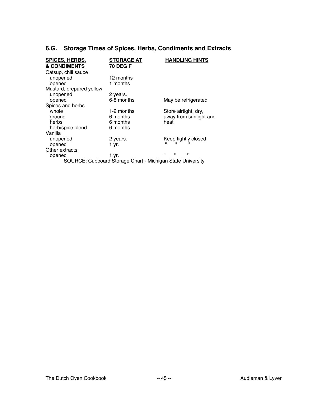# **6.G. Storage Times of Spices, Herbs, Condiments and Extracts**

| <b>SPICES, HERBS,</b><br><b>&amp; CONDIMENTS</b>           | <b>STORAGE AT</b><br><b>70 DEG F</b> | <b>HANDLING HINTS</b>                          |  |
|------------------------------------------------------------|--------------------------------------|------------------------------------------------|--|
| Catsup, chili sauce                                        |                                      |                                                |  |
| unopened                                                   | 12 months                            |                                                |  |
| opened                                                     | 1 months                             |                                                |  |
| Mustard, prepared yellow                                   |                                      |                                                |  |
| unopened                                                   | 2 years.                             |                                                |  |
| opened                                                     | 6-8 months                           | May be refrigerated                            |  |
| Spices and herbs                                           |                                      |                                                |  |
| whole                                                      | 1-2 months                           | Store airtight, dry,                           |  |
| ground                                                     | 6 months                             | away from sunlight and                         |  |
| herbs                                                      | 6 months                             | heat                                           |  |
| herb/spice blend                                           | 6 months                             |                                                |  |
| Vanilla                                                    |                                      |                                                |  |
| unopened                                                   | 2 years.                             | Keep tightly closed                            |  |
| opened                                                     | 1 yr.                                | $\mathbf{H}$<br>                               |  |
| Other extracts                                             |                                      |                                                |  |
| opened                                                     | 1 yr.                                | $\blacksquare$<br>$\mathbf{H}$<br>$\mathbf{H}$ |  |
| SOURCE: Cupboard Storage Chart - Michigan State University |                                      |                                                |  |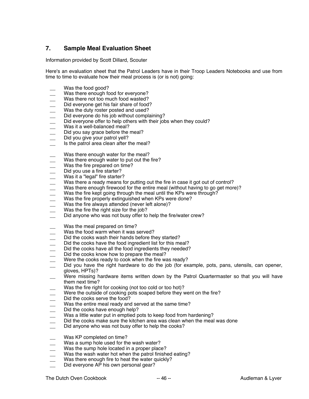#### **7. Sample Meal Evaluation Sheet**

Information provided by Scott Dillard, Scouter

Here's an evaluation sheet that the Patrol Leaders have in their Troop Leaders Notebooks and use from time to time to evaluate how their meal process is (or is not) going:

- Was the food good?
- Was there enough food for everyone?
- Was there not too much food wasted?
- Did everyone get his fair share of food?
- Was the duty roster posted and used?
- Did everyone do his job without complaining?
- Did everyone offer to help others with their jobs when they could?
- Was it a well-balanced meal?
- Did you say grace before the meal?
- Did you give your patrol yell?
- Is the patrol area clean after the meal?
- Was there enough water for the meal?
- Was there enough water to put out the fire?
- Was the fire prepared on time?
- Did you use a fire starter?
- Was it a "legal" fire starter?
- Was there a ready means for putting out the fire in case it got out of control?
- Was there enough firewood for the entire meal (without having to go get more)?
- Was the fire kept going through the meal until the KPs were through?
- Was the fire properly extinguished when KPs were done?
- Was the fire always attended (never left alone)?
- Was the fire the right size for the job?
- Did anyone who was not busy offer to help the fire/water crew?
- Was the meal prepared on time?
- Was the food warm when it was served?
- Did the cooks wash their hands before they started?
- Did the cooks have the food ingredient list for this meal?
- Did the cooks have all the food ingredients they needed?
- Did the cooks know how to prepare the meal?
- Were the cooks ready to cook when the fire was ready?
- Did you have the right hardware to do the job (for example, pots, pans, utensils, can opener, gloves, HPTs)?
- Were missing hardware items written down by the Patrol Quartermaster so that you will have them next time?
- Was the fire right for cooking (not too cold or too hot)?
- Were the outside of cooking pots soaped before they went on the fire?
- Did the cooks serve the food?
- Was the entire meal ready and served at the same time?
- Did the cooks have enough help?
- Was a little water put in emptied pots to keep food from hardening?
- Did the cooks make sure the kitchen area was clean when the meal was done
- Did anyone who was not busy offer to help the cooks?
- Was KP completed on time?
- Was a sump hole used for the wash water?
- Was the sump hole located in a proper place?
- Was the wash water hot when the patrol finished eating?
- Was there enough fire to heat the water quickly?
- Did everyone AP his own personal gear?

The Dutch Oven Cookbook --- 46 -- Audleman & Lyver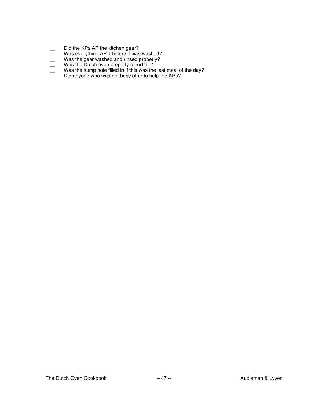- **EXECUTE:** Did the KPs AP the kitchen gear?
- \_\_ Was everything AP'd before it was washed?
- \_\_ Was the gear washed and rinsed properly?
- \_\_ Was the Dutch oven properly cared for?
- \_\_ Was the sump hole filled in if this was the last meal of the day?
- $\Box$  Did anyone who was not busy offer to help the KPs?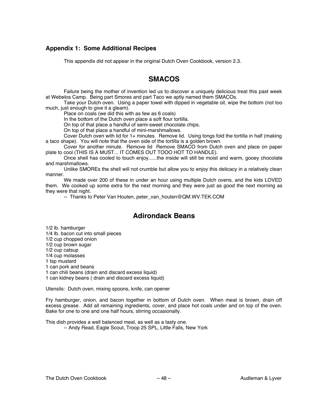#### **Appendix 1: Some Additional Recipes**

This appendix did not appear in the original Dutch Oven Cookbook, version 2.3.

## **SMACOS**

Failure being the mother of invention led us to discover a uniquely delicious treat this past week at Webelos Camp. Being part Smores and part Taco we aptly named them SMACOs.

Take your Dutch oven. Using a paper towel with dipped in vegetable oil, wipe the bottom (not too much, just enough to give it a gleam).

Place on coals (we did this with as few as 6 coals)

In the bottom of the Dutch oven place a soft flour tortilla.

On top of that place a handful of semi-sweet chocolate chips.

On top of that place a handful of mini-marshmallows.

Cover Dutch oven with lid for 1+ minutes. Remove lid. Using tongs fold the tortilla in half (making a taco shape). You will note that the oven side of the tortilla is a golden brown.

Cover for another minute. Remove lid Remove SMACO from Dutch oven and place on paper plate to cool (THIS IS A MUST... IT COMES OUT TOOO HOT TO HANDLE).

Once shell has cooled to touch enjoy......the inside will still be moist and warm, gooey chocolate and marshmallows.

Unlike SMOREs the shell will not crumble but allow you to enjoy this delicacy in a relatively clean manner.

We made over 200 of these in under an hour using multiple Dutch ovens, and the kids LOVED them. We cooked up some extra for the next morning and they were just as good the next morning as they were that night.

-- Thanks to Peter Van Houten, peter\_van\_houten@QM.WV.TEK.COM

# **Adirondack Beans**

1/2 lb. hamburger

1/4 lb. bacon cut into small pieces

1/2 cup chopped onion

1/2 cup brown sugar

1/2 cup catsup

1/4 cup molasses

1 tsp mustard

1 can pork and beans

1 can chili beans (drain and discard excess liquid)

1 can kidney beans ( drain and discard excess liquid)

Utensils: Dutch oven, mixing spoons, knife, can opener

Fry hamburger, onion, and bacon together in bottom of Dutch oven. When meat is brown, drain off excess grease. Add all remaining ingredients, cover, and place hot coals under and on top of the oven. Bake for one to one and one half hours, stirring occasionally.

This dish provides a well balanced meal, as well as a tasty one.

-- Andy Read, Eagle Scout, Troop 25 SPL, Little Falls, New York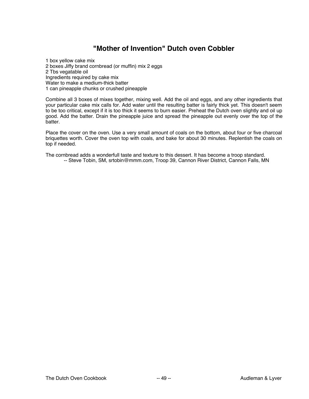# **"Mother of Invention" Dutch oven Cobbler**

1 box yellow cake mix 2 boxes Jiffy brand cornbread (or muffin) mix 2 eggs 2 Tbs vegatable oil Ingredients required by cake mix Water to make a medium-thick batter 1 can pineapple chunks or crushed pineapple

Combine all 3 boxes of mixes together, mixing well. Add the oil and eggs, and any other ingredients that your particular cake mix calls for. Add water until the resulting batter is fairly thick yet. This doesn't seem to be too critical, except if it is too thick it seems to burn easier. Preheat the Dutch oven slightly and oil up good. Add the batter. Drain the pineapple juice and spread the pineapple out evenly over the top of the batter.

Place the cover on the oven. Use a very small amount of coals on the bottom, about four or five charcoal briquettes worth. Cover the oven top with coals, and bake for about 30 minutes. Replentish the coals on top if needed.

The cornbread adds a wonderfull taste and texture to this dessert. It has become a troop standard. -- Steve Tobin, SM, srtobin@mmm.com, Troop 39, Cannon River District, Cannon Falls, MN